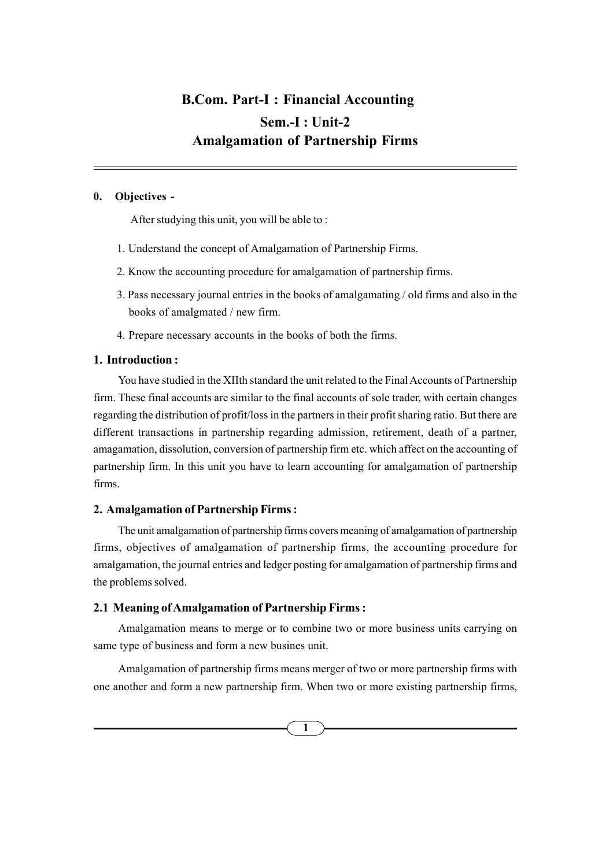## Sem.-I : Unit-2 Amalgamation of Partnership Firms B.Com. Part-I : Financial Accounting

## 0. Objectives -

After studying this unit, you will be able to :

- 1. Understand the concept of Amalgamation of Partnership Firms.
- 2. Know the accounting procedure for amalgamation of partnership firms.
- 3. Pass necessary journal entries in the books of amalgamating / old firms and also in the books of amalgmated / new firm.
- 4. Prepare necessary accounts in the books of both the firms.

### 1. Introduction :

You have studied in the XIIth standard the unit related to the Final Accounts of Partnership firm. These final accounts are similar to the final accounts of sole trader, with certain changes regarding the distribution of profit/loss in the partners in their profit sharing ratio. But there are different transactions in partnership regarding admission, retirement, death of a partner, amagamation, dissolution, conversion of partnership firm etc. which affect on the accounting of partnership firm. In this unit you have to learn accounting for amalgamation of partnership firms.

#### 2. Amalgamation of Partnership Firms :

The unit amalgamation of partnership firms covers meaning of amalgamation of partnership firms, objectives of amalgamation of partnership firms, the accounting procedure for amalgamation, the journal entries and ledger posting for amalgamation of partnership firms and the problems solved.

#### 2.1 Meaning of Amalgamation of Partnership Firms :

Amalgamation means to merge or to combine two or more business units carrying on same type of business and form a new busines unit.

Amalgamation of partnership firms means merger of two or more partnership firms with one another and form a new partnership firm. When two or more existing partnership firms,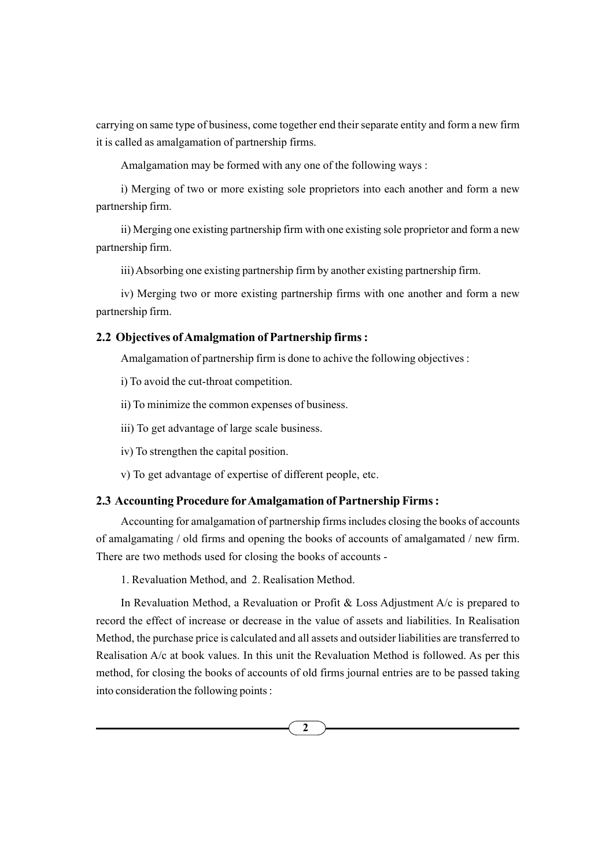carrying on same type of business, come together end their separate entity and form a new firm it is called as amalgamation of partnership firms.

Amalgamation may be formed with any one of the following ways :

i) Merging of two or more existing sole proprietors into each another and form a new partnership firm.

ii) Merging one existing partnership firm with one existing sole proprietor and form a new partnership firm.

iii) Absorbing one existing partnership firm by another existing partnership firm.

iv) Merging two or more existing partnership firms with one another and form a new partnership firm.

### 2.2 Objectives of Amalgmation of Partnership firms :

Amalgamation of partnership firm is done to achive the following objectives :

i) To avoid the cut-throat competition.

ii) To minimize the common expenses of business.

iii) To get advantage of large scale business.

iv) To strengthen the capital position.

v) To get advantage of expertise of different people, etc.

### 2.3 Accounting Procedure forAmalgamation of Partnership Firms :

Accounting for amalgamation of partnership firms includes closing the books of accounts of amalgamating / old firms and opening the books of accounts of amalgamated / new firm. There are two methods used for closing the books of accounts -

1. Revaluation Method, and 2. Realisation Method.

In Revaluation Method, a Revaluation or Profit & Loss Adjustment A/c is prepared to record the effect of increase or decrease in the value of assets and liabilities. In Realisation Method, the purchase price is calculated and all assets and outsider liabilities are transferred to Realisation A/c at book values. In this unit the Revaluation Method is followed. As per this method, for closing the books of accounts of old firms journal entries are to be passed taking into consideration the following points :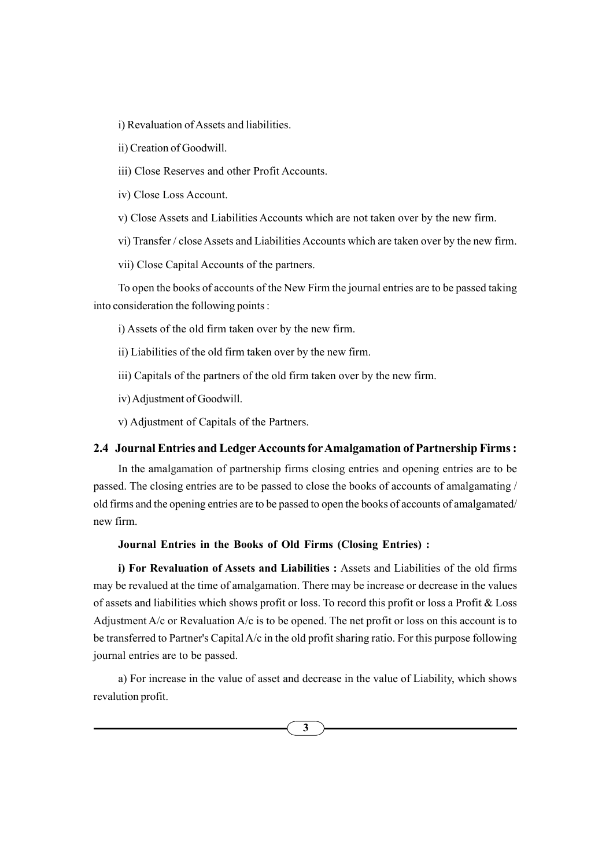i) Revaluation of Assets and liabilities.

ii) Creation of Goodwill.

iii) Close Reserves and other Profit Accounts.

iv) Close Loss Account.

v) Close Assets and Liabilities Accounts which are not taken over by the new firm.

vi) Transfer / close Assets and Liabilities Accounts which are taken over by the new firm.

vii) Close Capital Accounts of the partners.

To open the books of accounts of the New Firm the journal entries are to be passed taking into consideration the following points :

i) Assets of the old firm taken over by the new firm.

ii) Liabilities of the old firm taken over by the new firm.

iii) Capitals of the partners of the old firm taken over by the new firm.

iv) Adjustment of Goodwill.

v) Adjustment of Capitals of the Partners.

### 2.4 Journal Entries and Ledger Accounts for Amalgamation of Partnership Firms:

In the amalgamation of partnership firms closing entries and opening entries are to be passed. The closing entries are to be passed to close the books of accounts of amalgamating / old firms and the opening entries are to be passed to open the books of accounts of amalgamated/ new firm.

#### Journal Entries in the Books of Old Firms (Closing Entries) :

i) For Revaluation of Assets and Liabilities : Assets and Liabilities of the old firms may be revalued at the time of amalgamation. There may be increase or decrease in the values of assets and liabilities which shows profit or loss. To record this profit or loss a Profit & Loss Adjustment  $A/c$  or Revaluation  $A/c$  is to be opened. The net profit or loss on this account is to be transferred to Partner's Capital A/c in the old profit sharing ratio. For this purpose following journal entries are to be passed.

a) For increase in the value of asset and decrease in the value of Liability, which shows revalution profit.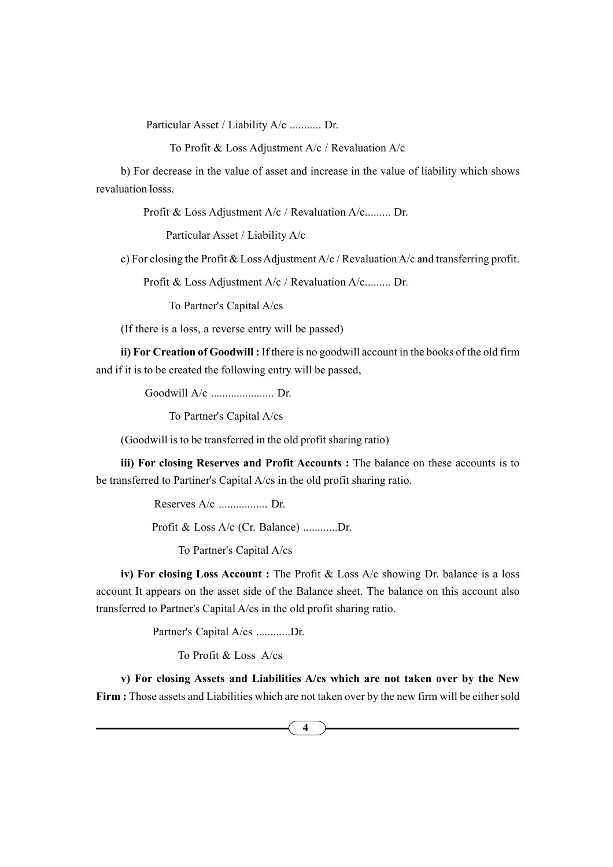Particular Asset / Liability A/c ........... Dr.

To Profit & Loss Adjustment A/c / Revaluation A/c

b) For decrease in the value of asset and increase in the value of liability which shows revaluation losss.

Profit & Loss Adjustment A/c / Revaluation A/c......... Dr.

Particular Asset / Liability A/c

c) For closing the Profit & Loss Adjustment A/c / Revaluation A/c and transferring profit.

Profit & Loss Adjustment A/c / Revaluation A/c......... Dr.

To Partner's Capital A/cs

(If there is a loss, a reverse entry will be passed)

ii) For Creation of Goodwill : If there is no goodwill account in the books of the old firm and if it is to be created the following entry will be passed,

Goodwill A/c ...................... Dr.

To Partner's Capital A/cs

(Goodwill is to be transferred in the old profit sharing ratio)

iii) For closing Reserves and Profit Accounts : The balance on these accounts is to be transferred to Partiner's Capital A/cs in the old profit sharing ratio.

Reserves A/c ................. Dr.

Profit & Loss A/c (Cr. Balance) ............Dr.

To Partner's Capital A/cs

iv) For closing Loss Account : The Profit & Loss A/c showing Dr. balance is a loss account It appears on the asset side of the Balance sheet. The balance on this account also transferred to Partner's Capital A/cs in the old profit sharing ratio.

Partner's Capital A/cs ............Dr.

To Profit & Loss A/cs

v) For closing Assets and Liabilities A/cs which are not taken over by the New Firm : Those assets and Liabilities which are not taken over by the new firm will be either sold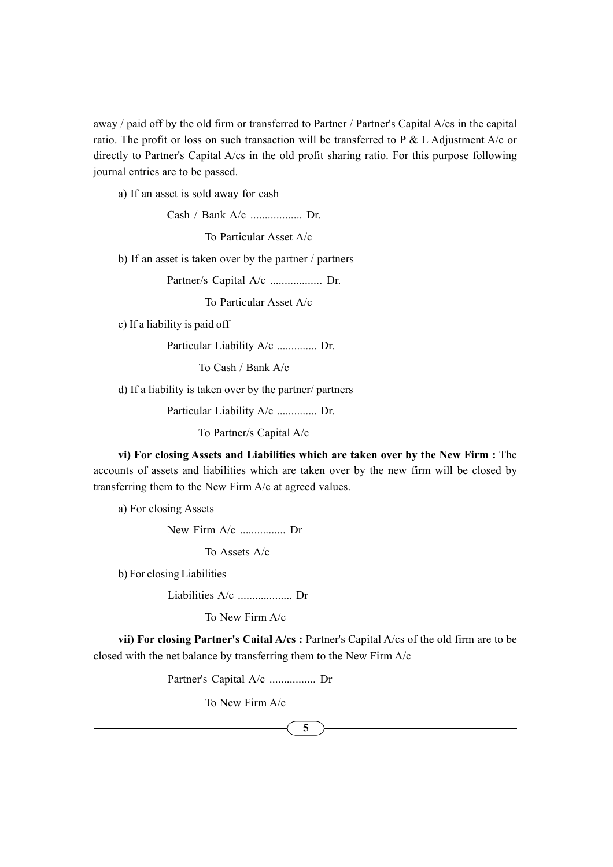away / paid off by the old firm or transferred to Partner / Partner's Capital A/cs in the capital ratio. The profit or loss on such transaction will be transferred to P  $&$  L Adjustment A/c or directly to Partner's Capital A/cs in the old profit sharing ratio. For this purpose following journal entries are to be passed.

a) If an asset is sold away for cash

Cash / Bank A/c .................. Dr.

To Particular Asset A/c

b) If an asset is taken over by the partner / partners

Partner/s Capital A/c .................. Dr.

To Particular Asset A/c

c) If a liability is paid off

Particular Liability A/c .............. Dr.

To Cash / Bank A/c

d) If a liability is taken over by the partner/ partners

Particular Liability A/c .............. Dr.

To Partner/s Capital A/c

vi) For closing Assets and Liabilities which are taken over by the New Firm : The accounts of assets and liabilities which are taken over by the new firm will be closed by transferring them to the New Firm A/c at agreed values.

a) For closing Assets

New Firm A/c ................ Dr

To Assets A/c

b) For closing Liabilities

Liabilities A/c ................... Dr

To New Firm A/c

vii) For closing Partner's Caital A/cs : Partner's Capital A/cs of the old firm are to be closed with the net balance by transferring them to the New Firm A/c

Partner's Capital A/c ................ Dr

To New Firm A/c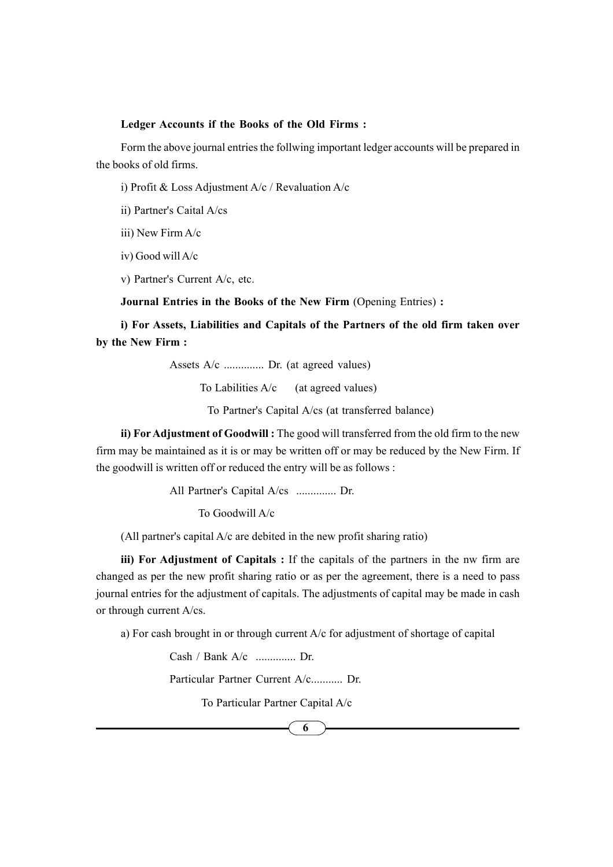#### Ledger Accounts if the Books of the Old Firms :

Form the above journal entries the follwing important ledger accounts will be prepared in the books of old firms.

i) Profit & Loss Adjustment A/c / Revaluation A/c

ii) Partner's Caital A/cs

iii) New Firm A/c

iv) Good will A/c

v) Partner's Current A/c, etc.

Journal Entries in the Books of the New Firm (Opening Entries) :

i) For Assets, Liabilities and Capitals of the Partners of the old firm taken over by the New Firm :

Assets A/c .............. Dr. (at agreed values)

To Labilities  $A/c$  (at agreed values)

To Partner's Capital A/cs (at transferred balance)

ii) For Adjustment of Goodwill : The good will transferred from the old firm to the new firm may be maintained as it is or may be written off or may be reduced by the New Firm. If the goodwill is written off or reduced the entry will be as follows :

All Partner's Capital A/cs .............. Dr.

To Goodwill A/c

(All partner's capital A/c are debited in the new profit sharing ratio)

iii) For Adjustment of Capitals : If the capitals of the partners in the nw firm are changed as per the new profit sharing ratio or as per the agreement, there is a need to pass journal entries for the adjustment of capitals. The adjustments of capital may be made in cash or through current A/cs.

a) For cash brought in or through current A/c for adjustment of shortage of capital

Cash / Bank A/c .............. Dr.

Particular Partner Current A/c........... Dr.

To Particular Partner Capital A/c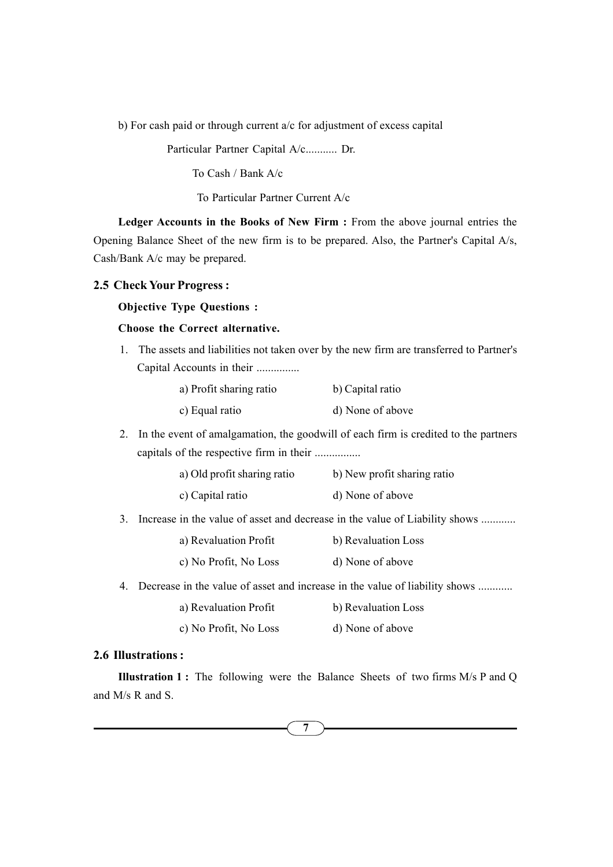b) For cash paid or through current a/c for adjustment of excess capital

Particular Partner Capital A/c........... Dr.

To Cash / Bank A/c

To Particular Partner Current A/c

Ledger Accounts in the Books of New Firm : From the above journal entries the Opening Balance Sheet of the new firm is to be prepared. Also, the Partner's Capital A/s, Cash/Bank A/c may be prepared.

#### 2.5 Check Your Progress :

#### Objective Type Questions :

### Choose the Correct alternative.

1. The assets and liabilities not taken over by the new firm are transferred to Partner's Capital Accounts in their ...............

| a) Profit sharing ratio | b) Capital ratio |
|-------------------------|------------------|
| c) Equal ratio          | d) None of above |

2. In the event of amalgamation, the goodwill of each firm is credited to the partners capitals of the respective firm in their ................

| a) Old profit sharing ratio | b) New profit sharing ratio |
|-----------------------------|-----------------------------|
| c) Capital ratio            | d) None of above            |

3. Increase in the value of asset and decrease in the value of Liability shows ............

| a) Revaluation Profit | b) Revaluation Loss |
|-----------------------|---------------------|
| c) No Profit, No Loss | d) None of above    |

4. Decrease in the value of asset and increase in the value of liability shows ............

- a) Revaluation Profit b) Revaluation Loss
- c) No Profit, No Loss d) None of above

## 2.6 Illustrations :

Illustration 1 : The following were the Balance Sheets of two firms M/s P and Q and M/s R and S.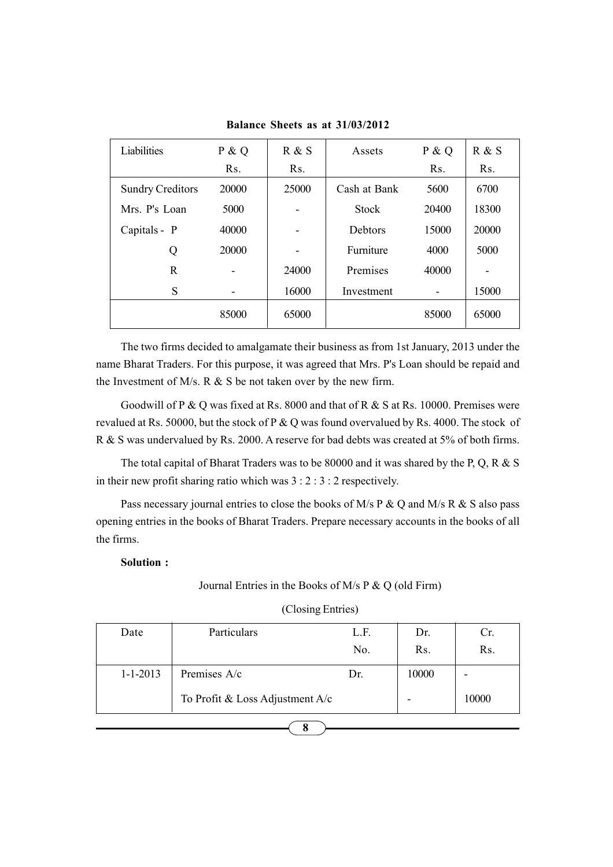| Liabilities             | P & Q            | R & S | Assets         | P & Q            | R & S |
|-------------------------|------------------|-------|----------------|------------------|-------|
|                         | R <sub>S</sub> . | Rs.   |                | R <sub>S</sub> . | Rs.   |
| <b>Sundry Creditors</b> | 20000            | 25000 | Cash at Bank   | 5600             | 6700  |
| Mrs. P's Loan           | 5000             | -     | <b>Stock</b>   | 20400            | 18300 |
| Capitals - P            | 40000            | -     | <b>Debtors</b> | 15000            | 20000 |
| Q                       | 20000            | -     | Furniture      | 4000             | 5000  |
| R                       |                  | 24000 | Premises       | 40000            |       |
| S                       |                  | 16000 | Investment     |                  | 15000 |
|                         | 85000            | 65000 |                | 85000            | 65000 |

Balance Sheets as at 31/03/2012

The two firms decided to amalgamate their business as from 1st January, 2013 under the name Bharat Traders. For this purpose, it was agreed that Mrs. P's Loan should be repaid and the Investment of M/s. R  $&$  S be not taken over by the new firm.

Goodwill of P & Q was fixed at Rs. 8000 and that of R & S at Rs. 10000. Premises were revalued at Rs. 50000, but the stock of P & Q was found overvalued by Rs. 4000. The stock of R & S was undervalued by Rs. 2000. A reserve for bad debts was created at 5% of both firms.

The total capital of Bharat Traders was to be 80000 and it was shared by the P, Q, R & S in their new profit sharing ratio which was 3 : 2 : 3 : 2 respectively.

Pass necessary journal entries to close the books of M/s P & Q and M/s R & S also pass opening entries in the books of Bharat Traders. Prepare necessary accounts in the books of all the firms.

## Solution :

### Journal Entries in the Books of M/s P & Q (old Firm)

| Date           | Particulars                       | L.F.<br>No. | Dr.<br>Rs. | Cr.<br>Rs. |
|----------------|-----------------------------------|-------------|------------|------------|
| $1 - 1 - 2013$ | Premises A/c                      | Dr.         | 10000      | -          |
|                | To Profit & Loss Adjustment $A/c$ |             |            | 10000      |

## (Closing Entries)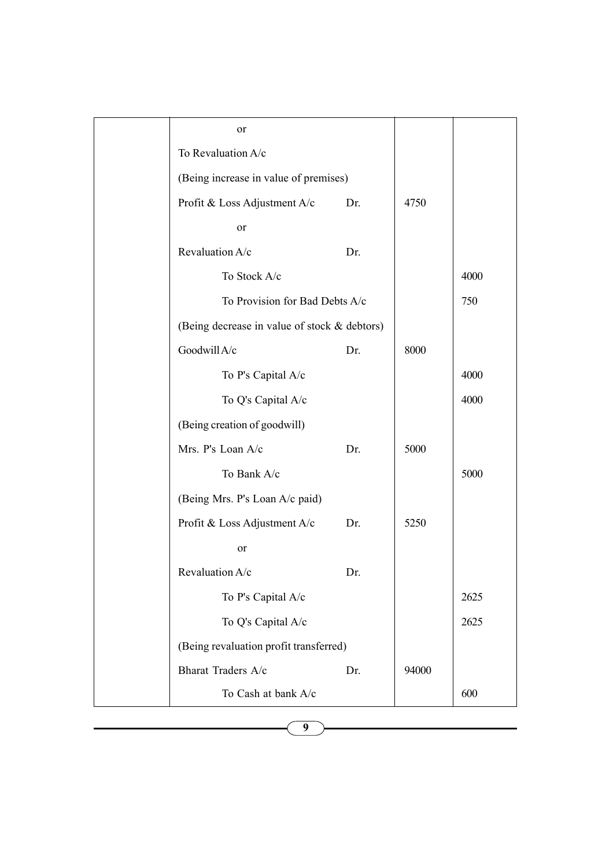| or                                           |     |       |      |
|----------------------------------------------|-----|-------|------|
| To Revaluation A/c                           |     |       |      |
| (Being increase in value of premises)        |     |       |      |
| Profit & Loss Adjustment A/c                 | Dr. | 4750  |      |
| or                                           |     |       |      |
| Revaluation A/c                              | Dr. |       |      |
| To Stock A/c                                 |     |       | 4000 |
| To Provision for Bad Debts A/c               |     |       | 750  |
| (Being decrease in value of stock & debtors) |     |       |      |
| Goodwill A/c                                 | Dr. | 8000  |      |
| To P's Capital A/c                           |     |       | 4000 |
| To Q's Capital A/c                           |     |       | 4000 |
| (Being creation of goodwill)                 |     |       |      |
| Mrs. P's Loan A/c                            | Dr. | 5000  |      |
| To Bank A/c                                  |     |       | 5000 |
| (Being Mrs. P's Loan A/c paid)               |     |       |      |
| Profit & Loss Adjustment A/c                 | Dr. | 5250  |      |
| or                                           |     |       |      |
| Revaluation A/c                              | Dr. |       |      |
| To P's Capital A/c                           |     |       | 2625 |
| To Q's Capital A/c                           |     |       | 2625 |
| (Being revaluation profit transferred)       |     |       |      |
| Bharat Traders A/c                           | Dr. | 94000 |      |
| To Cash at bank A/c                          |     |       | 600  |
|                                              |     |       |      |

9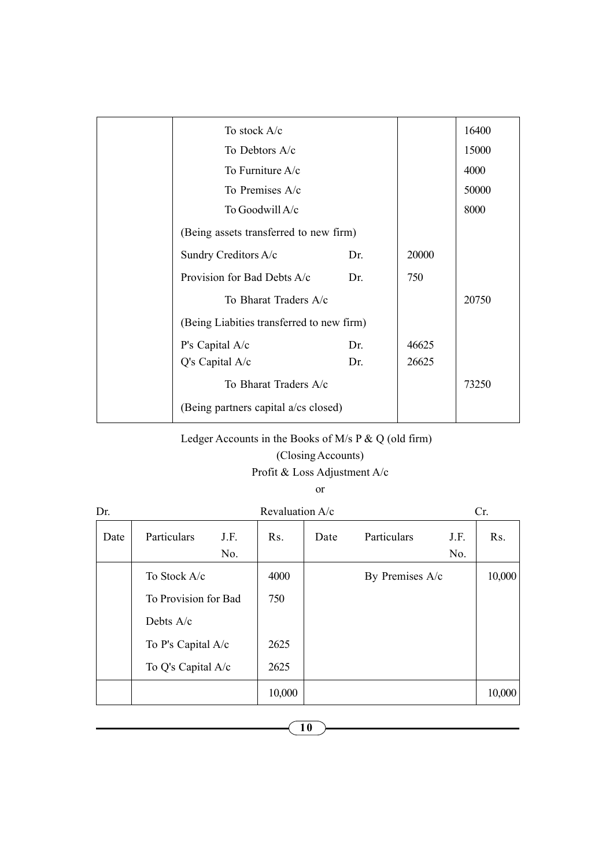| To stock A/c                              |     |       | 16400 |
|-------------------------------------------|-----|-------|-------|
| To Debtors A/c                            |     |       | 15000 |
| To Furniture $A/c$                        |     |       | 4000  |
| To Premises A/c                           |     |       | 50000 |
| To Goodwill A/c                           |     |       | 8000  |
| (Being assets transferred to new firm)    |     |       |       |
| Sundry Creditors A/c                      | Dr. | 20000 |       |
| Provision for Bad Debts A/c               | Dr. | 750   |       |
| To Bharat Traders A/c                     |     |       | 20750 |
| (Being Liabities transferred to new firm) |     |       |       |
| P's Capital A/c                           | Dr. | 46625 |       |
| $Q's$ Capital $A/c$                       | Dr. | 26625 |       |
| To Bharat Traders A/c                     |     |       | 73250 |
| (Being partners capital a/cs closed)      |     |       |       |
|                                           |     |       |       |

Ledger Accounts in the Books of M/s P & Q (old firm)

## (Closing Accounts)

Profit & Loss Adjustment A/c

or

| Dr.  |                      |      | Revaluation A/c |      |                 |      | Cr.              |
|------|----------------------|------|-----------------|------|-----------------|------|------------------|
| Date | Particulars          | J.F. | Rs.             | Date | Particulars     | J.F. | R <sub>s</sub> . |
|      |                      | No.  |                 |      |                 | No.  |                  |
|      | To Stock A/c         |      | 4000            |      | By Premises A/c |      | 10,000           |
|      | To Provision for Bad |      | 750             |      |                 |      |                  |
|      | Debts $A/c$          |      |                 |      |                 |      |                  |
|      | To P's Capital A/c   |      | 2625            |      |                 |      |                  |
|      | To Q's Capital A/c   |      | 2625            |      |                 |      |                  |
|      |                      |      | 10,000          |      |                 |      | 10,000           |

10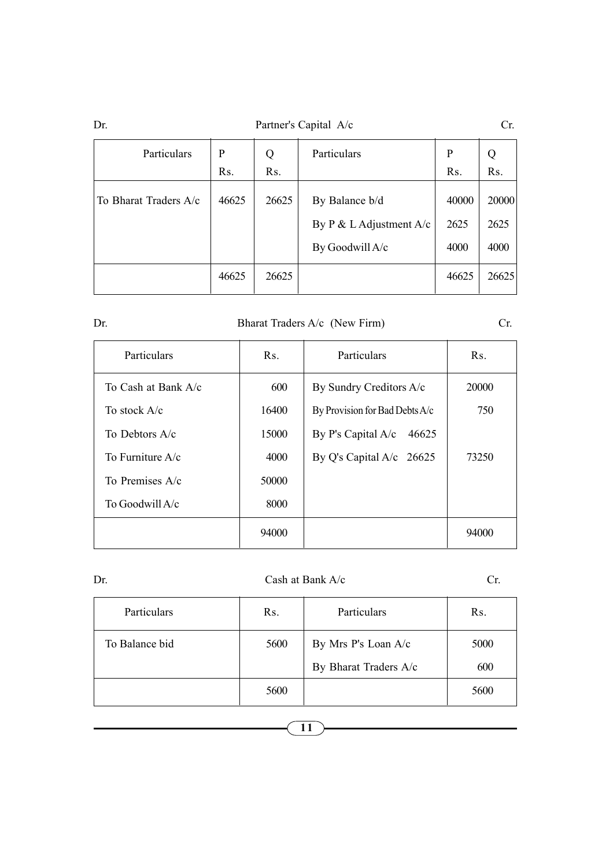| Dr.                   | Partner's Capital A/c |                  |                                                              |                       | Cr.                   |
|-----------------------|-----------------------|------------------|--------------------------------------------------------------|-----------------------|-----------------------|
| Particulars           | P                     | Particulars<br>Q |                                                              | P                     | Q                     |
|                       | R <sub>s</sub> .      | Rs.              |                                                              | R <sub>s</sub> .      | R <sub>s</sub> .      |
| To Bharat Traders A/c | 46625                 | 26625            | By Balance b/d<br>By P & L Adjustment A/c<br>By Goodwill A/c | 40000<br>2625<br>4000 | 20000<br>2625<br>4000 |
|                       | 46625                 | 26625            |                                                              | 46625                 | 26625                 |

## Dr. Bharat Traders A/c (New Firm) Cr.

| Particulars           | Rs.   | Particulars                    | $\operatorname{Rs.}$ |
|-----------------------|-------|--------------------------------|----------------------|
| To Cash at Bank $A/c$ | 600   | By Sundry Creditors A/c        | 20000                |
| To stock $A/c$        | 16400 | By Provision for Bad Debts A/c | 750                  |
| To Debtors $A/c$      | 15000 | By P's Capital A/c<br>46625    |                      |
| To Furniture $A/c$    | 4000  | By Q's Capital A/c $26625$     | 73250                |
| To Premises A/c       | 50000 |                                |                      |
| To Goodwill A/c       | 8000  |                                |                      |
|                       | 94000 |                                | 94000                |

#### Dr. Cash at Bank A/c Cr.

| Particulars    | Rs.  | Particulars           | Rs.  |
|----------------|------|-----------------------|------|
| To Balance bid | 5600 | By Mrs P's Loan A/c   | 5000 |
|                |      | By Bharat Traders A/c | 600  |
|                | 5600 |                       | 5600 |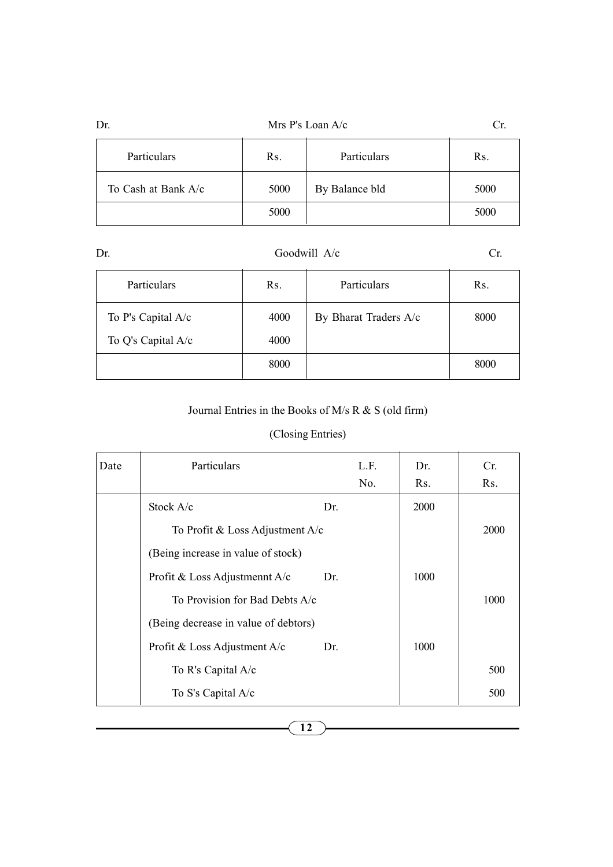| Mrs P's Loan A/c<br>Dr. |      |                |      |
|-------------------------|------|----------------|------|
| Particulars             | Rs.  | Particulars    | Rs.  |
| To Cash at Bank A/c     | 5000 | By Balance bld | 5000 |
|                         | 5000 |                | 5000 |

| Dr. |                    | Goodwill A/c |                       |      |
|-----|--------------------|--------------|-----------------------|------|
|     | <b>Particulars</b> | Rs.          | Particulars           | Rs.  |
|     | To P's Capital A/c | 4000         | By Bharat Traders A/c | 8000 |
|     | To Q's Capital A/c | 4000         |                       |      |

## Journal Entries in the Books of M/s R & S (old firm)

8000 8000

## (Closing Entries)

| Date | Particulars                          |     | L.F. | Dr.  | Cr.  |
|------|--------------------------------------|-----|------|------|------|
|      |                                      |     | No.  | Rs.  | Rs.  |
|      | Stock $A/c$                          | Dr. |      | 2000 |      |
|      | To Profit & Loss Adjustment $A/c$    |     |      |      | 2000 |
|      | (Being increase in value of stock)   |     |      |      |      |
|      | Profit & Loss Adjustmennt A/c        | Dr. |      | 1000 |      |
|      | To Provision for Bad Debts A/c       |     |      |      | 1000 |
|      | (Being decrease in value of debtors) |     |      |      |      |
|      | Profit & Loss Adjustment A/c         | Dr. |      | 1000 |      |
|      | To R's Capital A/c                   |     |      |      | 500  |
|      | To S's Capital A/c                   |     |      |      | 500  |
|      |                                      |     |      |      |      |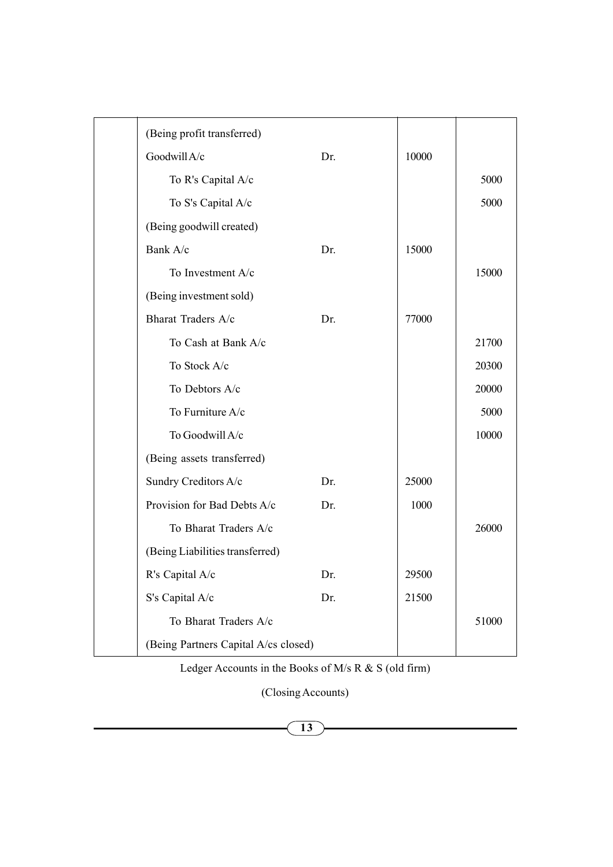| (Being profit transferred)           |     |       |       |
|--------------------------------------|-----|-------|-------|
| Goodwill A/c                         | Dr. | 10000 |       |
| To R's Capital A/c                   |     |       | 5000  |
| To S's Capital A/c                   |     |       | 5000  |
| (Being goodwill created)             |     |       |       |
| Bank A/c                             | Dr. | 15000 |       |
| To Investment A/c                    |     |       | 15000 |
| (Being investment sold)              |     |       |       |
| Bharat Traders A/c                   | Dr. | 77000 |       |
| To Cash at Bank A/c                  |     |       | 21700 |
| To Stock A/c                         |     |       | 20300 |
| To Debtors A/c                       |     |       | 20000 |
| To Furniture A/c                     |     |       | 5000  |
| To Goodwill A/c                      |     |       | 10000 |
| (Being assets transferred)           |     |       |       |
| Sundry Creditors A/c                 | Dr. | 25000 |       |
| Provision for Bad Debts A/c          | Dr. | 1000  |       |
| To Bharat Traders A/c                |     |       | 26000 |
| (Being Liabilities transferred)      |     |       |       |
| R's Capital A/c                      | Dr. | 29500 |       |
| S's Capital A/c                      | Dr. | 21500 |       |
| To Bharat Traders A/c                |     |       | 51000 |
| (Being Partners Capital A/cs closed) |     |       |       |
|                                      |     |       |       |

Ledger Accounts in the Books of M/s R & S (old firm)

(Closing Accounts)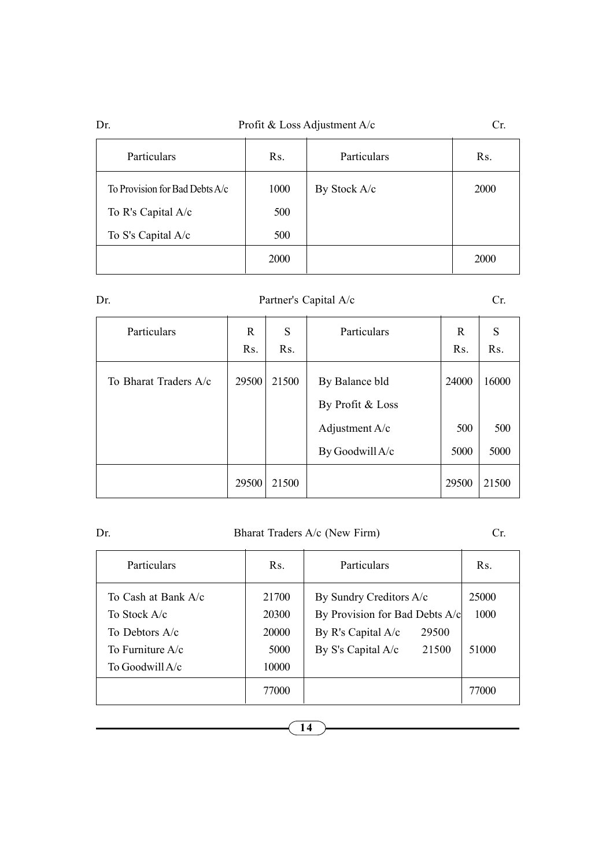| Profit & Loss Adjustment $A/c$<br>Dr |  |
|--------------------------------------|--|
|--------------------------------------|--|

|              | ×<br>. .      |        |
|--------------|---------------|--------|
| c.<br>×<br>× | ٠<br>۰,<br>۰. | $\sim$ |

| Particulars                    | R <sub>S</sub> . | Particulars  | R <sub>S</sub> . |
|--------------------------------|------------------|--------------|------------------|
| To Provision for Bad Debts A/c | 1000             | By Stock A/c | <b>2000</b>      |
| To R's Capital A/c             | 500              |              |                  |
| To S's Capital A/c             | 500              |              |                  |
|                                | 2000             |              | 2000             |

Dr. Partner's Capital A/c Cr.

| Particulars           | R<br>Rs. | S<br>R <sub>s</sub> . | Particulars                        | R<br>R <sub>S</sub> . | S<br>R <sub>s</sub> . |
|-----------------------|----------|-----------------------|------------------------------------|-----------------------|-----------------------|
| To Bharat Traders A/c | 29500    | 21500                 | By Balance bld<br>By Profit & Loss | 24000                 | 16000                 |
|                       |          |                       | Adjustment $A/c$                   | 500                   | 500                   |
|                       |          |                       | By Goodwill A/c                    | 5000                  | 5000                  |
|                       | 29500    | 21500                 |                                    | 29500                 | 21500                 |

## Dr. Bharat Traders A/c (New Firm) Cr.

| Particulars                                                                                      | $\operatorname{Rs.}$                     | Particulars                                                                                                               | $\mathbf{R}$ s.        |
|--------------------------------------------------------------------------------------------------|------------------------------------------|---------------------------------------------------------------------------------------------------------------------------|------------------------|
| To Cash at Bank A/c<br>To Stock A/c<br>To Debtors $A/c$<br>To Furniture $A/c$<br>To Goodwill A/c | 21700<br>20300<br>20000<br>5000<br>10000 | By Sundry Creditors A/c<br>By Provision for Bad Debts A/c<br>By R's Capital $A/c$<br>29500<br>By S's Capital A/c<br>21500 | 25000<br>1000<br>51000 |
|                                                                                                  | 77000                                    |                                                                                                                           | 77000                  |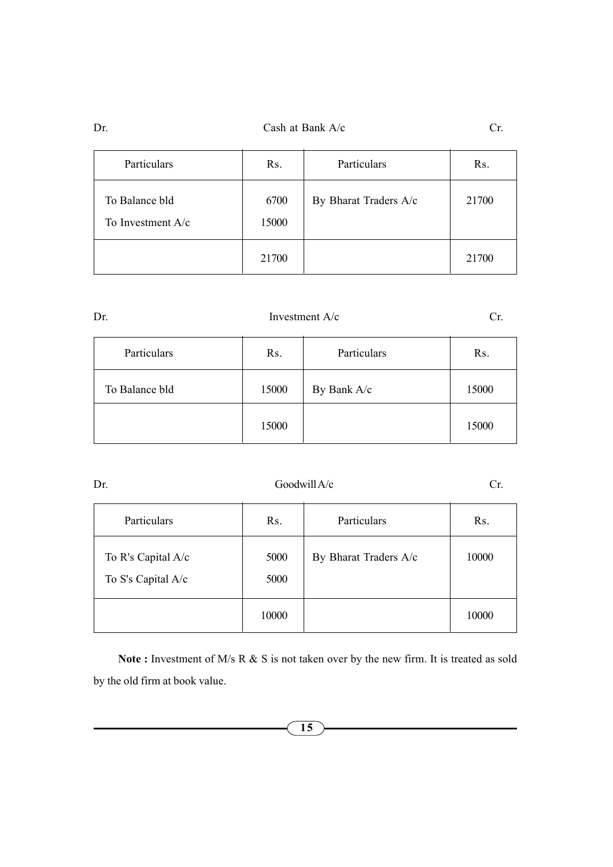Dr. Cash at Bank A/c Cr.

| Particulars                           | Rs.           | Particulars           | Rs.   |
|---------------------------------------|---------------|-----------------------|-------|
| To Balance bld<br>To Investment $A/c$ | 6700<br>15000 | By Bharat Traders A/c | 21700 |
|                                       | 21700         |                       | 21700 |

| ٠<br>۰.<br>٧<br>× |
|-------------------|
|-------------------|

## Investment A/c Cr.

| Particulars    | Rs.   | Particulars | Rs.   |
|----------------|-------|-------------|-------|
| To Balance bld | 15000 | By Bank A/c | 15000 |
|                | 15000 |             | 15000 |

## Dr. Goodwill A/c Cr.

| Particulars                              | Rs.          | Particulars           | Rs.   |
|------------------------------------------|--------------|-----------------------|-------|
| To R's Capital A/c<br>To S's Capital A/c | 5000<br>5000 | By Bharat Traders A/c | 10000 |
|                                          | 10000        |                       | 10000 |

Note: Investment of M/s R  $&$  S is not taken over by the new firm. It is treated as sold by the old firm at book value.

15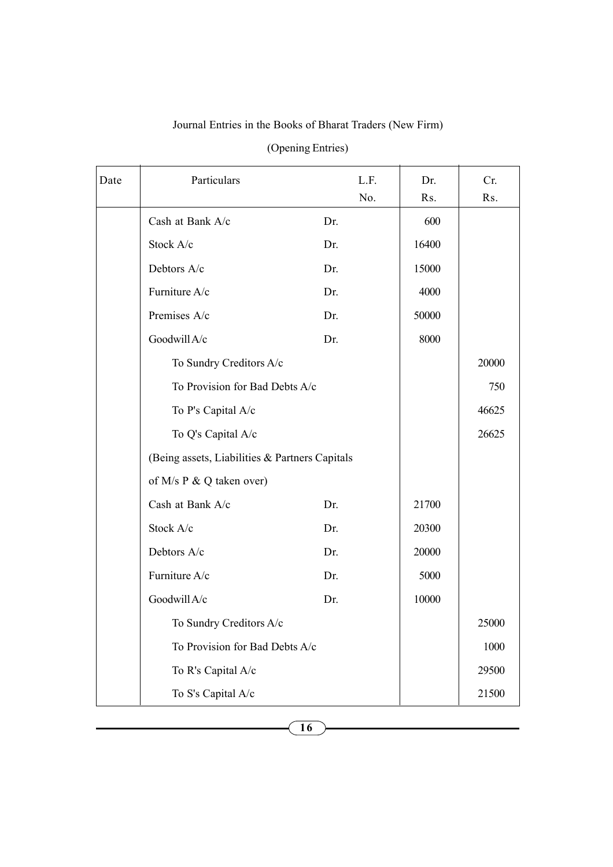## Journal Entries in the Books of Bharat Traders (New Firm)

| Date | Particulars                                    | L.F. | Dr.   | Cr.   |
|------|------------------------------------------------|------|-------|-------|
|      |                                                | No.  | Rs.   | Rs.   |
|      | Cash at Bank A/c                               | Dr.  | 600   |       |
|      | Stock A/c                                      | Dr.  | 16400 |       |
|      | Debtors A/c                                    | Dr.  | 15000 |       |
|      | Furniture A/c                                  | Dr.  | 4000  |       |
|      | Premises A/c                                   | Dr.  | 50000 |       |
|      | Goodwill A/c                                   | Dr.  | 8000  |       |
|      | To Sundry Creditors A/c                        |      |       | 20000 |
|      | To Provision for Bad Debts A/c                 |      |       | 750   |
|      | To P's Capital A/c                             |      |       | 46625 |
|      | To Q's Capital A/c                             |      |       | 26625 |
|      | (Being assets, Liabilities & Partners Capitals |      |       |       |
|      | of M/s P & Q taken over)                       |      |       |       |
|      | Cash at Bank A/c                               | Dr.  | 21700 |       |
|      | Stock A/c                                      | Dr.  | 20300 |       |
|      | Debtors A/c                                    | Dr.  | 20000 |       |
|      | Furniture A/c                                  | Dr.  | 5000  |       |
|      | Goodwill A/c                                   | Dr.  | 10000 |       |
|      | To Sundry Creditors A/c                        |      |       | 25000 |
|      | To Provision for Bad Debts A/c                 |      |       | 1000  |
|      | To R's Capital A/c                             |      |       | 29500 |
|      | To S's Capital A/c                             |      |       | 21500 |

(Opening Entries)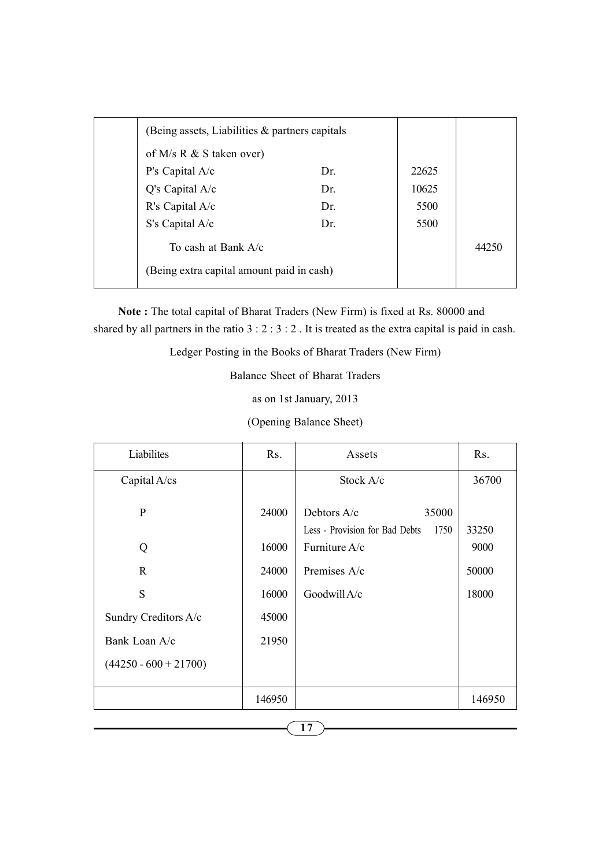| (Being assets, Liabilities $\&$ partners capitals |     |       |       |
|---------------------------------------------------|-----|-------|-------|
| of M/s R $&$ S taken over)                        |     |       |       |
| P's Capital A/c                                   | Dr. | 22625 |       |
| $Q's$ Capital $A/c$                               | Dr. | 10625 |       |
| R's Capital A/c                                   | Dr. | 5500  |       |
| S's Capital A/c                                   | Dr. | 5500  |       |
| To cash at Bank $A/c$                             |     |       | 44250 |
| (Being extra capital amount paid in cash)         |     |       |       |

Note : The total capital of Bharat Traders (New Firm) is fixed at Rs. 80000 and shared by all partners in the ratio 3 : 2 : 3 : 2 . It is treated as the extra capital is paid in cash.

Ledger Posting in the Books of Bharat Traders (New Firm)

Balance Sheet of Bharat Traders

as on 1st January, 2013

(Opening Balance Sheet)

| Liabilites              | R <sub>S</sub> . | Assets                                                   | Rs.           |
|-------------------------|------------------|----------------------------------------------------------|---------------|
| Capital A/cs            |                  | Stock $A/c$                                              | 36700         |
| P                       | 24000            | Debtors $A/c$<br>35000<br>Less - Provision for Bad Debts | 1750<br>33250 |
| Q                       | 16000            | Furniture A/c                                            | 9000          |
| $\mathbf{R}$            | 24000            | Premises A/c                                             | 50000         |
| S                       | 16000            | Goodwill A/c                                             | 18000         |
| Sundry Creditors A/c    | 45000            |                                                          |               |
| Bank Loan A/c           | 21950            |                                                          |               |
| $(44250 - 600 + 21700)$ |                  |                                                          |               |
|                         | 146950           |                                                          | 146950        |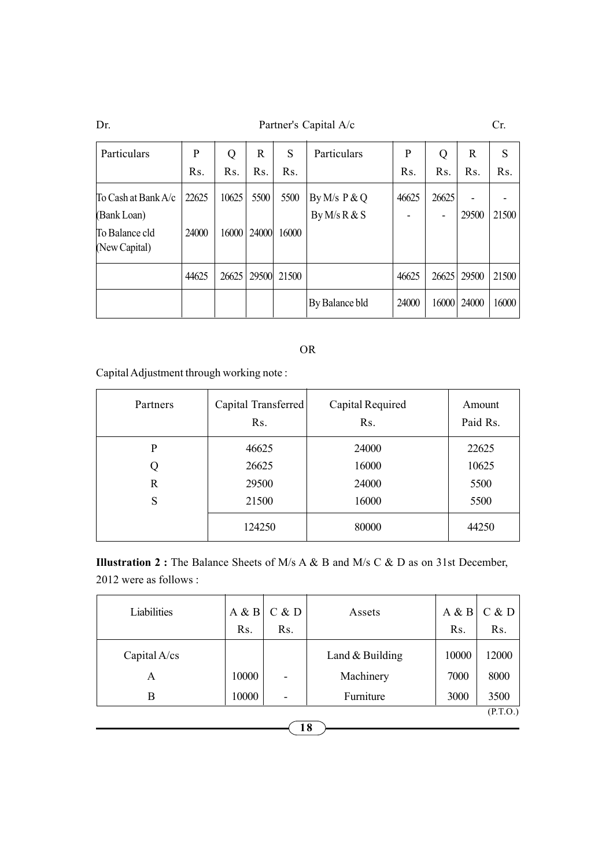Dr. Partner's Capital A/c Cr.

| Particulars                        | P     | Q                | R              | S                | Particulars                      | P              | Q     | R              | S     |
|------------------------------------|-------|------------------|----------------|------------------|----------------------------------|----------------|-------|----------------|-------|
|                                    | Rs.   | R <sub>s</sub> . | R <sub>s</sub> | R <sub>s</sub> . |                                  | R <sub>s</sub> | Rs.   | R <sub>s</sub> | Rs.   |
| To Cash at Bank A/c<br>(Bank Loan) | 22625 | 10625            | 5500           | 5500             | By M/s $P & Q$<br>By $M/s R & S$ | 46625          | 26625 | 29500          | 21500 |
| To Balance cld<br>(New Capital)    | 24000 | 16000            | 24000          | 16000            |                                  |                |       |                |       |
|                                    | 44625 | 26625            | 29500          | 21500            |                                  | 46625          | 26625 | 29500          | 21500 |
|                                    |       |                  |                |                  | By Balance bld                   | 24000          | 16000 | 24000          | 16000 |

## OR

Capital Adjustment through working note :

| Partners    | Capital Transferred<br>R <sub>s</sub> . | Capital Required<br>R <sub>S</sub> . | Amount<br>Paid Rs. |
|-------------|-----------------------------------------|--------------------------------------|--------------------|
| P           | 46625                                   | 24000                                | 22625              |
| Q           | 26625                                   | 16000                                | 10625              |
| $\mathbf R$ | 29500                                   | 24000                                | 5500               |
| S           | 21500                                   | 16000                                | 5500               |
|             | 124250                                  | 80000                                | 44250              |

Illustration 2 : The Balance Sheets of M/s A & B and M/s C & D as on 31st December, 2012 were as follows :

| Liabilities  | A & B<br>R <sub>s</sub> . | C & D<br>R <sub>s</sub> . | Assets            | A & B<br>R <sub>S</sub> . | C & D<br>R <sub>s</sub> . |
|--------------|---------------------------|---------------------------|-------------------|---------------------------|---------------------------|
| Capital A/cs |                           |                           | Land $&$ Building | 10000                     | 12000                     |
| A            | 10000                     | -                         | Machinery         | 7000                      | 8000                      |
| В            | 10000                     | $\overline{\phantom{0}}$  | Furniture         | 3000                      | 3500                      |
|              |                           |                           |                   |                           | P.T.O.)                   |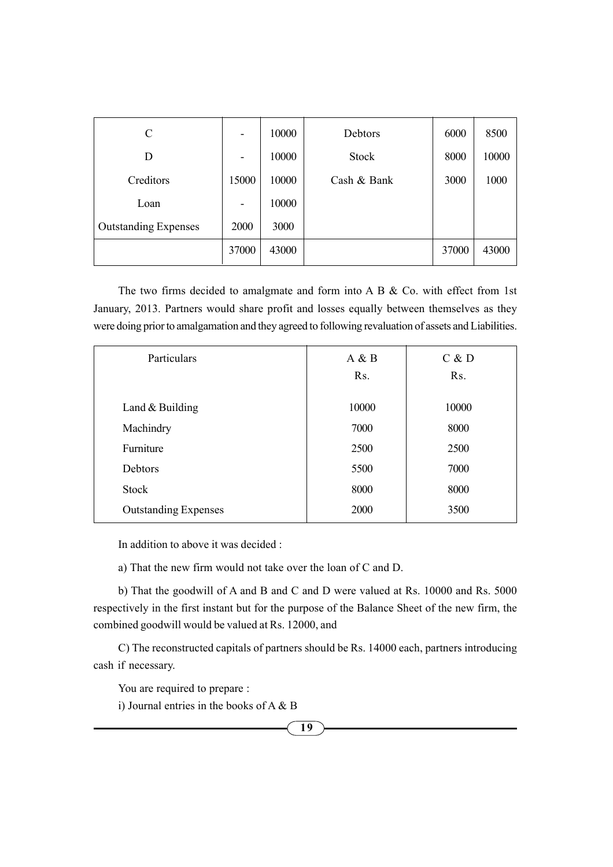| C                           | $\overline{a}$               | 10000 | Debtors      | 6000  | 8500  |
|-----------------------------|------------------------------|-------|--------------|-------|-------|
| D                           | $\qquad \qquad \blacksquare$ | 10000 | <b>Stock</b> | 8000  | 10000 |
| Creditors                   | 15000                        | 10000 | Cash & Bank  | 3000  | 1000  |
| Loan                        | -                            | 10000 |              |       |       |
| <b>Outstanding Expenses</b> | 2000                         | 3000  |              |       |       |
|                             | 37000                        | 43000 |              | 37000 | 43000 |

The two firms decided to amalgmate and form into A B & Co. with effect from 1st January, 2013. Partners would share profit and losses equally between themselves as they were doing prior to amalgamation and they agreed to following revaluation of assets and Liabilities.

| Particulars                 | A & B            | C & D            |
|-----------------------------|------------------|------------------|
|                             | R <sub>S</sub> . | R <sub>S</sub> . |
|                             |                  |                  |
| Land $&$ Building           | 10000            | 10000            |
| Machindry                   | 7000             | 8000             |
| Furniture                   | 2500             | 2500             |
| Debtors                     | 5500             | 7000             |
| Stock                       | 8000             | 8000             |
| <b>Outstanding Expenses</b> | 2000             | 3500             |

In addition to above it was decided :

a) That the new firm would not take over the loan of C and D.

b) That the goodwill of A and B and C and D were valued at Rs. 10000 and Rs. 5000 respectively in the first instant but for the purpose of the Balance Sheet of the new firm, the combined goodwill would be valued at Rs. 12000, and

C) The reconstructed capitals of partners should be Rs. 14000 each, partners introducing cash if necessary.

You are required to prepare :

i) Journal entries in the books of A & B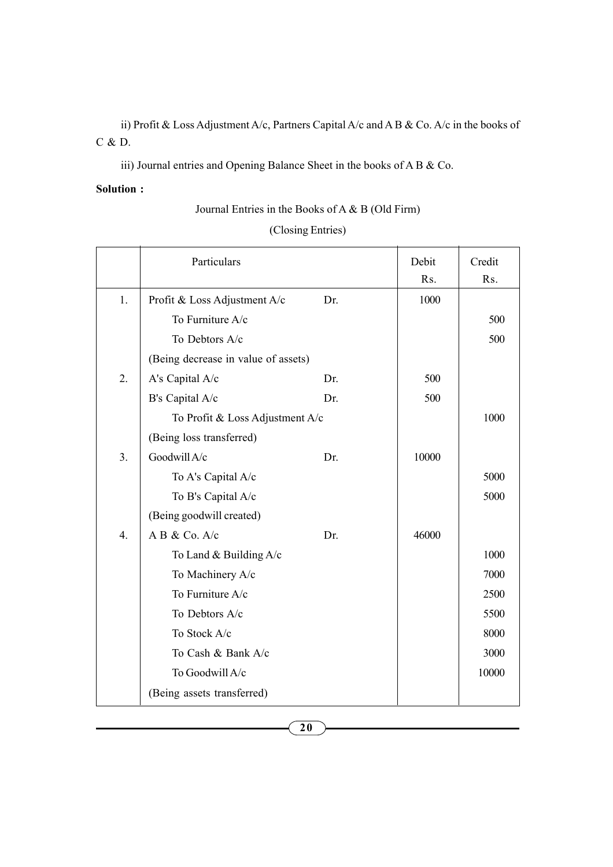ii) Profit & Loss Adjustment A/c, Partners Capital A/c and A B & Co. A/c in the books of C & D.

iii) Journal entries and Opening Balance Sheet in the books of A B & Co.

## Solution :

Journal Entries in the Books of A & B (Old Firm)

| (Closing Entries) |  |
|-------------------|--|
|                   |  |

|                  | Particulars                         |     | Debit | Credit |
|------------------|-------------------------------------|-----|-------|--------|
|                  |                                     |     | Rs.   | Rs.    |
| 1.               | Profit & Loss Adjustment A/c        | Dr. | 1000  |        |
|                  | To Furniture A/c                    |     |       | 500    |
|                  | To Debtors A/c                      |     |       | 500    |
|                  | (Being decrease in value of assets) |     |       |        |
| 2.               | A's Capital A/c                     | Dr. | 500   |        |
|                  | B's Capital A/c                     | Dr. | 500   |        |
|                  | To Profit & Loss Adjustment A/c     |     |       | 1000   |
|                  | (Being loss transferred)            |     |       |        |
| 3.               | Goodwill A/c                        | Dr. | 10000 |        |
|                  | To A's Capital A/c                  |     |       | 5000   |
|                  | To B's Capital A/c                  |     |       | 5000   |
|                  | (Being goodwill created)            |     |       |        |
| $\overline{4}$ . | A B & Co. A/c                       | Dr. | 46000 |        |
|                  | To Land $&$ Building A/c            |     |       | 1000   |
|                  | To Machinery A/c                    |     |       | 7000   |
|                  | To Furniture A/c                    |     |       | 2500   |
|                  | To Debtors A/c                      |     |       | 5500   |
|                  | To Stock A/c                        |     |       | 8000   |
|                  | To Cash & Bank A/c                  |     |       | 3000   |
|                  | To Goodwill A/c                     |     |       | 10000  |
|                  | (Being assets transferred)          |     |       |        |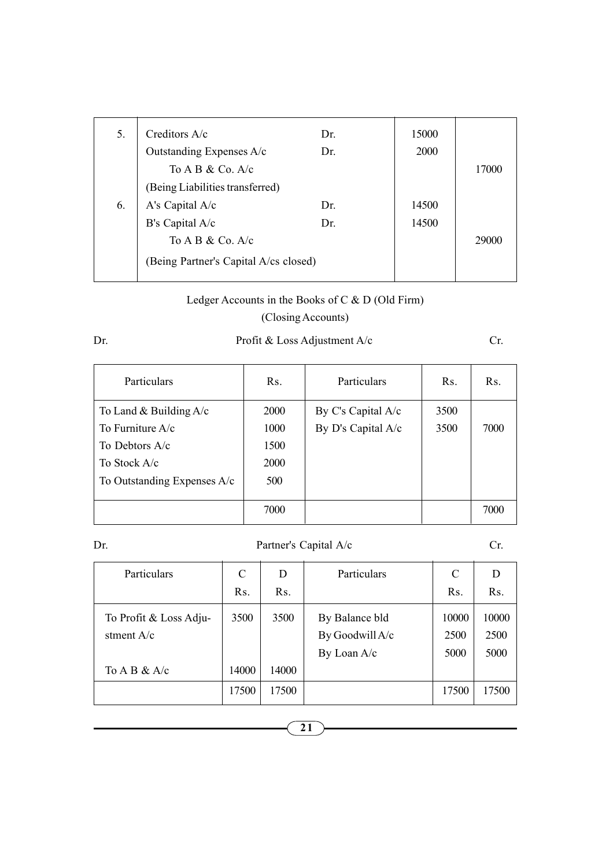| 5. | Creditors $A/c$                       | Dr. | 15000 |       |
|----|---------------------------------------|-----|-------|-------|
|    | Outstanding Expenses A/c              | Dr. | 2000  |       |
|    | To A B $&$ Co. A/c                    |     |       | 17000 |
|    | (Being Liabilities transferred)       |     |       |       |
| 6. | A's Capital A/c                       | Dr. | 14500 |       |
|    | B's Capital A/c                       | Dr. | 14500 |       |
|    | To A B & Co. $A/c$                    |     |       | 29000 |
|    | (Being Partner's Capital A/cs closed) |     |       |       |
|    |                                       |     |       |       |

# Ledger Accounts in the Books of C & D (Old Firm)

## (Closing Accounts)

## Dr. Profit & Loss Adjustment A/c Cr.

| Particulars                 | R <sub>S</sub> . | Particulars        | Rs.  | Rs.  |
|-----------------------------|------------------|--------------------|------|------|
| To Land & Building $A/c$    | <b>2000</b>      | By C's Capital A/c | 3500 |      |
| To Furniture $A/c$          | 1000             | By D's Capital A/c | 3500 | 7000 |
| To Debtors $A/c$            | 1500             |                    |      |      |
| To Stock A/c                | <b>2000</b>      |                    |      |      |
| To Outstanding Expenses A/c | 500              |                    |      |      |
|                             |                  |                    |      |      |
|                             | 7000             |                    |      | 7000 |

## Dr. Partner's Capital A/c Cr.

| Particulars            | C     | D                | Particulars     | C     | D                |
|------------------------|-------|------------------|-----------------|-------|------------------|
|                        | Rs.   | R <sub>S</sub> . |                 | Rs.   | R <sub>s</sub> . |
| To Profit & Loss Adju- | 3500  | 3500             | By Balance bld  | 10000 | 10000            |
| stment $A/c$           |       |                  | By Goodwill A/c | 2500  | 2500             |
|                        |       |                  | By Loan A/c     | 5000  | 5000             |
| To A B $&$ A/c         | 14000 | 14000            |                 |       |                  |
|                        | 17500 | 17500            |                 | 17500 | 17500            |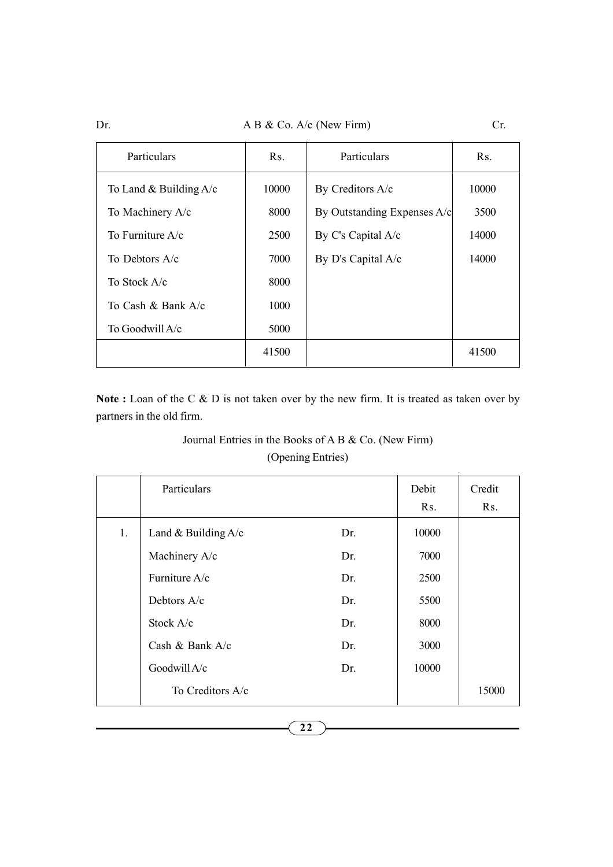Dr. A B & Co. A/c (New Firm) Cr.

| Particulars              | $\rm Rs.$ | Particulars                 | $\mathbf{R}$ s. |
|--------------------------|-----------|-----------------------------|-----------------|
| To Land & Building $A/c$ | 10000     | By Creditors A/c            | 10000           |
| To Machinery A/c         | 8000      | By Outstanding Expenses A/c | 3500            |
| To Furniture $A/c$       | 2500      | By C's Capital A/c          | 14000           |
| To Debtors $A/c$         | 7000      | By D's Capital A/c          | 14000           |
| To Stock A/c             | 8000      |                             |                 |
| To Cash & Bank A/c       | 1000      |                             |                 |
| To Goodwill A/c          | 5000      |                             |                 |
|                          | 41500     |                             | 41500           |

Note : Loan of the C & D is not taken over by the new firm. It is treated as taken over by partners in the old firm.

## Journal Entries in the Books of A B & Co. (New Firm) (Opening Entries)

|    | Particulars           |     | Debit<br>R <sub>S</sub> . | Credit<br>R <sub>s</sub> . |
|----|-----------------------|-----|---------------------------|----------------------------|
| 1. | Land & Building $A/c$ | Dr. | 10000                     |                            |
|    | Machinery A/c         | Dr. | 7000                      |                            |
|    | Furniture A/c         | Dr. | 2500                      |                            |
|    | Debtors A/c           | Dr. | 5500                      |                            |
|    | Stock A/c             | Dr. | 8000                      |                            |
|    | Cash & Bank $A/c$     | Dr. | 3000                      |                            |
|    | Goodwill A/c          | Dr. | 10000                     |                            |
|    | To Creditors A/c      |     |                           | 15000                      |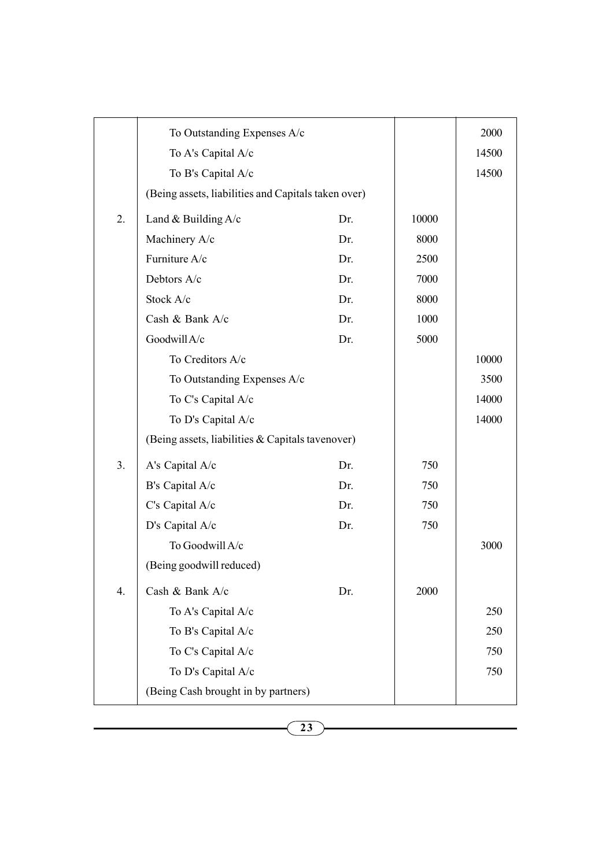|                  | To Outstanding Expenses A/c                         |     |       | 2000  |
|------------------|-----------------------------------------------------|-----|-------|-------|
|                  | To A's Capital A/c                                  |     |       | 14500 |
|                  | To B's Capital A/c                                  |     |       | 14500 |
|                  | (Being assets, liabilities and Capitals taken over) |     |       |       |
| 2.               | Land & Building $A/c$                               | Dr. | 10000 |       |
|                  | Machinery A/c                                       | Dr. | 8000  |       |
|                  | Furniture A/c                                       | Dr. | 2500  |       |
|                  | Debtors A/c                                         | Dr. | 7000  |       |
|                  | Stock A/c                                           | Dr. | 8000  |       |
|                  | Cash & Bank A/c                                     | Dr. | 1000  |       |
|                  | Goodwill A/c                                        | Dr. | 5000  |       |
|                  | To Creditors A/c                                    |     |       | 10000 |
|                  | To Outstanding Expenses A/c                         |     |       | 3500  |
|                  | To C's Capital A/c                                  |     |       | 14000 |
|                  | To D's Capital A/c                                  |     |       | 14000 |
|                  | (Being assets, liabilities & Capitals tavenover)    |     |       |       |
| 3.               | A's Capital A/c                                     | Dr. | 750   |       |
|                  | B's Capital A/c                                     | Dr. | 750   |       |
|                  | C's Capital A/c                                     | Dr. | 750   |       |
|                  | D's Capital A/c                                     | Dr. | 750   |       |
|                  | To Goodwill A/c                                     |     |       | 3000  |
|                  | (Being goodwill reduced)                            |     |       |       |
| $\overline{4}$ . | Cash & Bank A/c                                     | Dr. | 2000  |       |
|                  | To A's Capital A/c                                  |     |       | 250   |
|                  | To B's Capital A/c                                  |     |       | 250   |
|                  | To C's Capital A/c                                  |     |       | 750   |
|                  | To D's Capital A/c                                  |     |       | 750   |
|                  | (Being Cash brought in by partners)                 |     |       |       |
|                  |                                                     |     |       |       |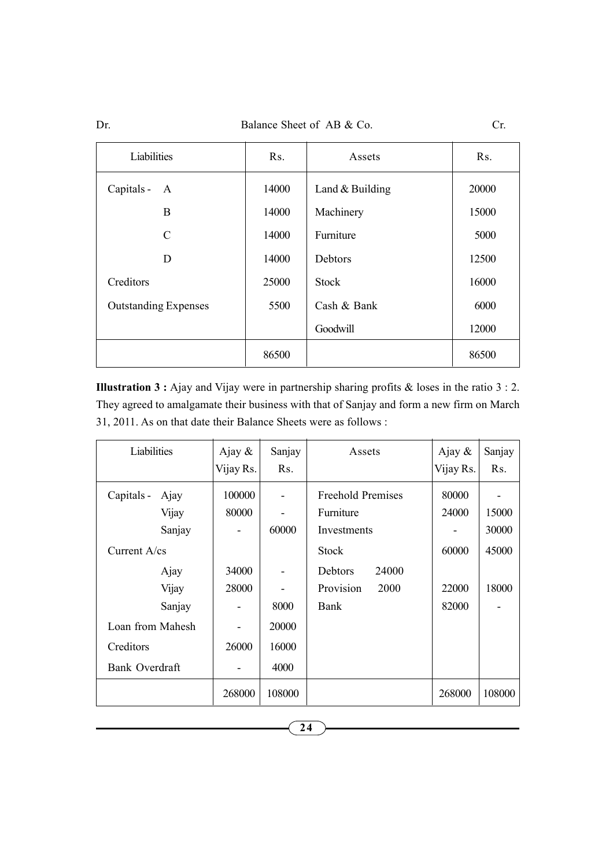Dr. Balance Sheet of AB & Co. Cr.

| Liabilities                 | R <sub>S</sub> . | Assets            | R <sub>S</sub> . |
|-----------------------------|------------------|-------------------|------------------|
| Capitals -<br>A             | 14000            | Land $&$ Building | 20000            |
| B                           | 14000            | Machinery         | 15000            |
| $\mathcal{C}$               | 14000            | Furniture         | 5000             |
| D                           | 14000            | Debtors           | 12500            |
| Creditors                   | 25000            | <b>Stock</b>      | 16000            |
| <b>Outstanding Expenses</b> | 5500             | Cash & Bank       | 6000             |
|                             |                  | Goodwill          | 12000            |
|                             | 86500            |                   | 86500            |

**Illustration 3 :** Ajay and Vijay were in partnership sharing profits  $\&$  loses in the ratio 3 : 2. They agreed to amalgamate their business with that of Sanjay and form a new firm on March 31, 2011. As on that date their Balance Sheets were as follows :

| Liabilities                 | Ajay $\&$<br>Vijay Rs. | Sanjay<br>Rs. | Assets                                | Ajay $\&$<br>Vijay Rs. | Sanjay<br>Rs. |
|-----------------------------|------------------------|---------------|---------------------------------------|------------------------|---------------|
| Capitals -<br>Ajay<br>Vijay | 100000<br>80000        |               | <b>Freehold Premises</b><br>Furniture | 80000<br>24000         | 15000         |
| Sanjay                      |                        | 60000         | Investments                           |                        | 30000         |
| Current $A$ /cs             |                        |               | <b>Stock</b>                          | 60000                  | 45000         |
| Ajay                        | 34000                  |               | 24000<br>Debtors                      |                        |               |
| Vijay                       | 28000                  |               | Provision<br>2000                     | 22000                  | 18000         |
| Sanjay                      |                        | 8000          | Bank                                  | 82000                  |               |
| Loan from Mahesh            |                        | 20000         |                                       |                        |               |
| Creditors                   | 26000                  | 16000         |                                       |                        |               |
| Bank Overdraft              |                        | 4000          |                                       |                        |               |
|                             | 268000                 | 108000        |                                       | 268000                 | 108000        |

24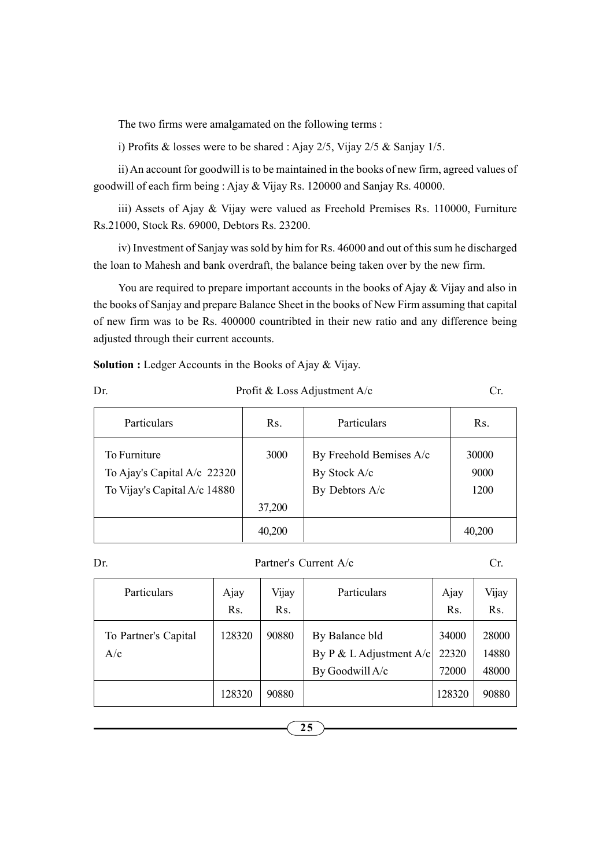The two firms were amalgamated on the following terms :

i) Profits & losses were to be shared : Ajay 2/5, Vijay 2/5 & Sanjay 1/5.

ii) An account for goodwill is to be maintained in the books of new firm, agreed values of goodwill of each firm being : Ajay & Vijay Rs. 120000 and Sanjay Rs. 40000.

iii) Assets of Ajay & Vijay were valued as Freehold Premises Rs. 110000, Furniture Rs.21000, Stock Rs. 69000, Debtors Rs. 23200.

iv) Investment of Sanjay was sold by him for Rs. 46000 and out of this sum he discharged the loan to Mahesh and bank overdraft, the balance being taken over by the new firm.

You are required to prepare important accounts in the books of Ajay & Vijay and also in the books of Sanjay and prepare Balance Sheet in the books of New Firm assuming that capital of new firm was to be Rs. 400000 countribted in their new ratio and any difference being adjusted through their current accounts.

Solution : Ledger Accounts in the Books of Ajay & Vijay.

| ×           |  |
|-------------|--|
| I<br>I<br>٧ |  |

## Profit & Loss Adjustment A/c Cr.

| Particulars                                                                 | Rs.    | Particulars                                               | Rs.                   |
|-----------------------------------------------------------------------------|--------|-----------------------------------------------------------|-----------------------|
| To Furniture<br>To Ajay's Capital A/c 22320<br>To Vijay's Capital A/c 14880 | 3000   | By Freehold Bemises A/c<br>By Stock A/c<br>By Debtors A/c | 30000<br>9000<br>1200 |
|                                                                             | 37,200 |                                                           |                       |
|                                                                             | 40,200 |                                                           | 40,200                |

Dr. Partner's Current A/c Cr.

| Particulars                 | Ajay<br>Rs. | Vijay<br>Rs. | Particulars                                                    | Ajay<br>Rs.             | Vijay<br>Rs.            |
|-----------------------------|-------------|--------------|----------------------------------------------------------------|-------------------------|-------------------------|
| To Partner's Capital<br>A/c | 128320      | 90880        | By Balance bld<br>By P & L Adjustment $A/c$<br>By Goodwill A/c | 34000<br>22320<br>72000 | 28000<br>14880<br>48000 |
|                             | 128320      | 90880        |                                                                | 128320                  | 90880                   |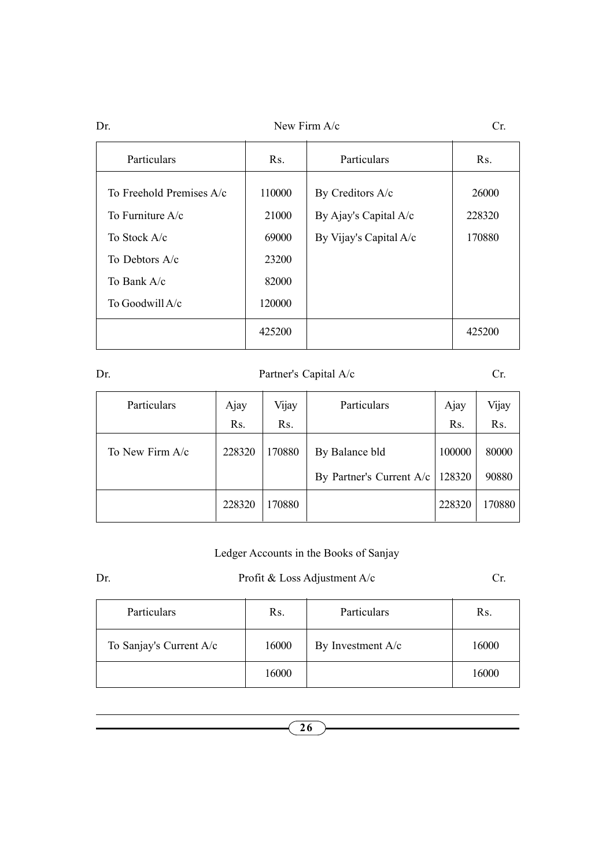| Dr. |                            |                  | New Firm $A/c$         |                  |  |
|-----|----------------------------|------------------|------------------------|------------------|--|
|     | Particulars                | R <sub>S</sub> . | Particulars            | R <sub>S</sub> . |  |
|     | To Freehold Premises $A/c$ | 110000           | By Creditors A/c       | 26000            |  |
|     | To Furniture $A/c$         | 21000            | By Ajay's Capital A/c  | 228320           |  |
|     | To Stock A/c               | 69000            | By Vijay's Capital A/c | 170880           |  |
|     | To Debtors A/c             | 23200            |                        |                  |  |
|     | To Bank A/c                | 82000            |                        |                  |  |
|     | To Goodwill A/c            | 120000           |                        |                  |  |
|     |                            | 425200           |                        | 425200           |  |
|     |                            |                  |                        |                  |  |

## Dr. Partner's Capital A/c Cr.

| <b>Particulars</b> | Ajay   | Vijay            | <b>Particulars</b>                         | Ajay             | Vijay          |
|--------------------|--------|------------------|--------------------------------------------|------------------|----------------|
|                    | Rs.    | R <sub>S</sub> . |                                            | Rs.              | Rs.            |
| To New Firm A/c    | 228320 | 170880           | By Balance bld<br>By Partner's Current A/c | 100000<br>128320 | 80000<br>90880 |
|                    | 228320 | 170880           |                                            | 228320           | 170880         |

## Ledger Accounts in the Books of Sanjay

## Dr. Profit & Loss Adjustment A/c Cr.

| Particulars             | Rs.   | Particulars       | Rs.   |
|-------------------------|-------|-------------------|-------|
| To Sanjay's Current A/c | 16000 | By Investment A/c | 16000 |
|                         | 16000 |                   | 16000 |

26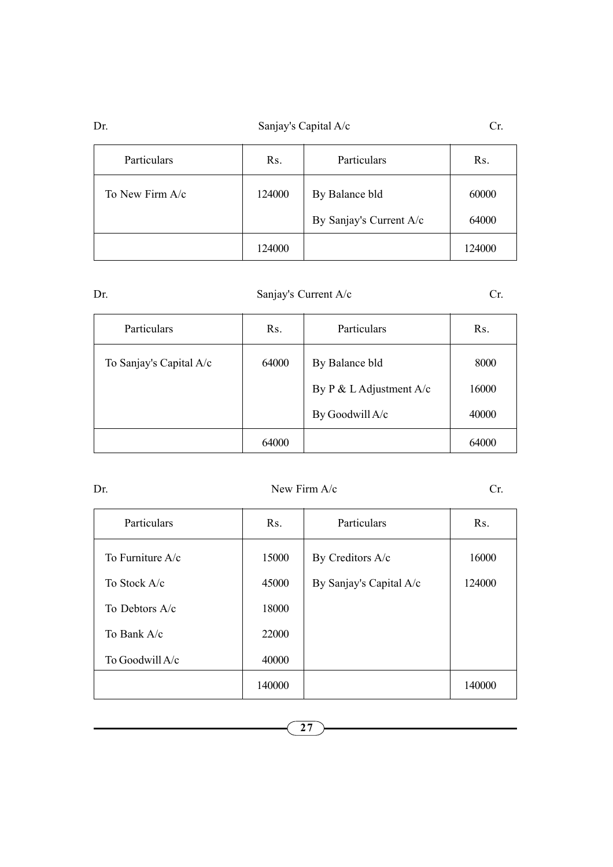## Dr. Sanjay's Capital A/c Cr.

| Particulars     | Rs.    | Particulars             | Rs.    |
|-----------------|--------|-------------------------|--------|
| To New Firm A/c | 124000 | By Balance bld          | 60000  |
|                 |        | By Sanjay's Current A/c | 64000  |
|                 | 124000 |                         | 124000 |

| ć<br>٠<br>I<br>I<br>۰. |
|------------------------|
|------------------------|

## Sanjay's Current A/c Cr.

| Particulars             | Rs.   | Particulars                     | Rs.   |
|-------------------------|-------|---------------------------------|-------|
| To Sanjay's Capital A/c | 64000 | By Balance bld                  | 8000  |
|                         |       | By $P \& L \&$ L Adjustment A/c | 16000 |
|                         |       | By Goodwill A/c                 | 40000 |
|                         | 64000 |                                 | 64000 |

## Dr. New Firm A/c Cr.

| Particulars        | R <sub>S</sub> . | Particulars             | R <sub>S</sub> . |
|--------------------|------------------|-------------------------|------------------|
| To Furniture $A/c$ | 15000            | By Creditors A/c        | 16000            |
| To Stock A/c       | 45000            | By Sanjay's Capital A/c | 124000           |
| To Debtors A/c     | 18000            |                         |                  |
| To Bank A/c        | 22000            |                         |                  |
| To Goodwill A/c    | 40000            |                         |                  |
|                    | 140000           |                         | 140000           |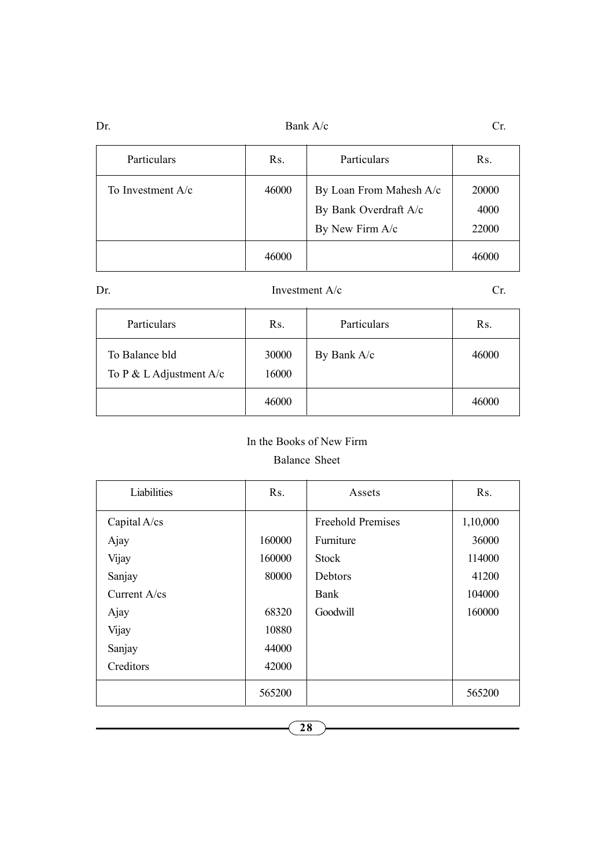Dr. Bank A/c Cr.

| Particulars       | Rs.   | Particulars                                                         | R <sub>S</sub> .       |
|-------------------|-------|---------------------------------------------------------------------|------------------------|
| To Investment A/c | 46000 | By Loan From Mahesh A/c<br>By Bank Overdraft A/c<br>By New Firm A/c | 20000<br>4000<br>22000 |
|                   | 46000 |                                                                     | 46000                  |

| ٠<br>I<br>۰.<br>٧<br>I |
|------------------------|
|------------------------|

## Investment  $A/c$  Cr.

| Particulars                                 | Rs.            | Particulars | Rs.   |
|---------------------------------------------|----------------|-------------|-------|
| To Balance bld<br>To P & L Adjustment $A/c$ | 30000<br>16000 | By Bank A/c | 46000 |
|                                             | 46000          |             | 46000 |

## In the Books of New Firm

## Balance Sheet

| Liabilities     | R <sub>S</sub> . | Assets                   | R <sub>s</sub> . |
|-----------------|------------------|--------------------------|------------------|
| Capital A/cs    |                  | <b>Freehold Premises</b> | 1,10,000         |
| Ajay            | 160000           | Furniture                | 36000            |
| Vijay           | 160000           | Stock                    | 114000           |
| Sanjay          | 80000            | Debtors                  | 41200            |
| Current $A$ /cs |                  | Bank                     | 104000           |
| Ajay            | 68320            | Goodwill                 | 160000           |
| Vijay           | 10880            |                          |                  |
| Sanjay          | 44000            |                          |                  |
| Creditors       | 42000            |                          |                  |
|                 | 565200           |                          | 565200           |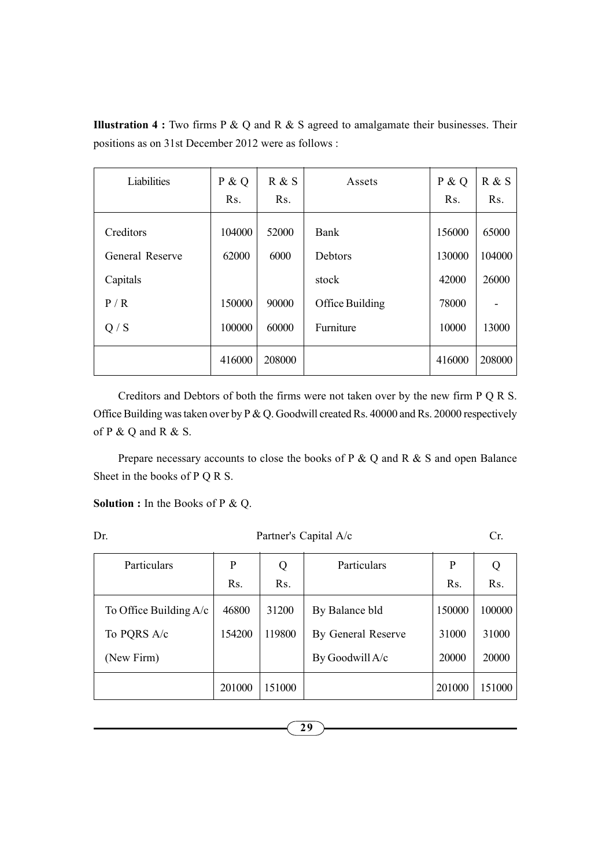| Liabilities                  | P & Q<br>Rs.    | R & S<br>Rs.  | Assets          | P & Q<br>R <sub>S</sub> . | R & S<br>R <sub>s</sub> . |
|------------------------------|-----------------|---------------|-----------------|---------------------------|---------------------------|
| Creditors<br>General Reserve | 104000<br>62000 | 52000<br>6000 | Bank<br>Debtors | 156000<br>130000          | 65000<br>104000           |
| Capitals                     |                 |               | stock           | 42000                     | 26000                     |
| P/R                          | 150000          | 90000         | Office Building | 78000                     |                           |
| Q / S                        | 100000          | 60000         | Furniture       | 10000                     | 13000                     |
|                              | 416000          | 208000        |                 | 416000                    | 208000                    |

**Illustration 4 :** Two firms  $P \& Q$  and  $R \& S$  agreed to amalgamate their businesses. Their positions as on 31st December 2012 were as follows :

Creditors and Debtors of both the firms were not taken over by the new firm P Q R S. Office Building was taken over by P & Q. Goodwill created Rs. 40000 and Rs. 20000 respectively of  $P \& Q$  and  $R \& S$ .

Prepare necessary accounts to close the books of P & Q and R & S and open Balance Sheet in the books of P Q R S.

Solution : In the Books of P & Q.

| Dr. |             | Partner's Capital A/c |             |    |  |
|-----|-------------|-----------------------|-------------|----|--|
|     | Particulars |                       | Particulars |    |  |
|     |             |                       |             | Rс |  |

| Particulars              | P      | Q                | Particulars        | P      | Q                |
|--------------------------|--------|------------------|--------------------|--------|------------------|
|                          | Rs.    | R <sub>s</sub> . |                    | Rs.    | R <sub>s</sub> . |
| To Office Building $A/c$ | 46800  | 31200            | By Balance bld     | 150000 | 100000           |
| To PQRS A/c              | 154200 | 119800           | By General Reserve | 31000  | 31000            |
| (New Firm)               |        |                  | By Goodwill A/c    | 20000  | 20000            |
|                          | 201000 | 151000           |                    | 201000 | 151000           |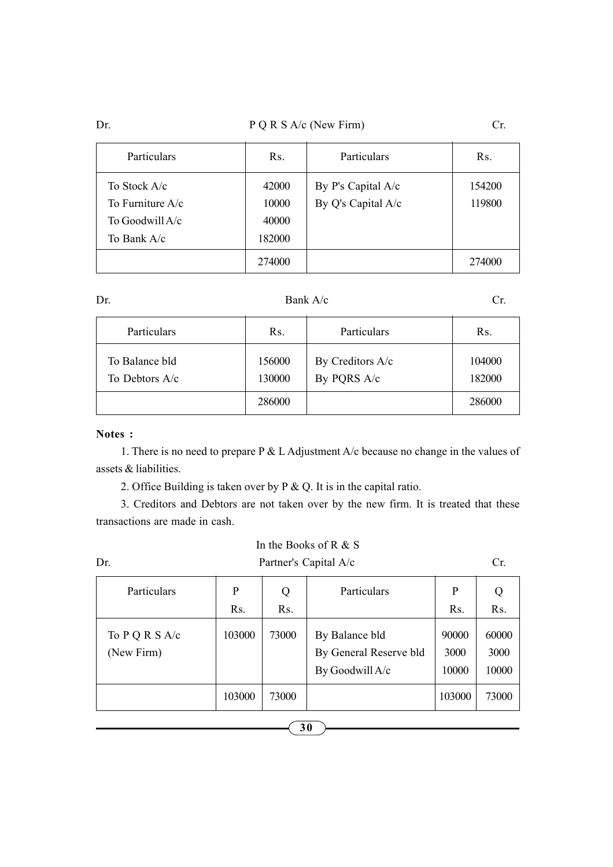## Dr.  $P \ Q \ R \ S \ A/c \ (New Firm)$  Cr.

| Particulars                                                        | Rs.                               | Particulars                              | R <sub>S</sub> . |
|--------------------------------------------------------------------|-----------------------------------|------------------------------------------|------------------|
| To Stock A/c<br>To Furniture A/c<br>To Goodwill A/c<br>To Bank A/c | 42000<br>10000<br>40000<br>182000 | By P's Capital A/c<br>By Q's Capital A/c | 154200<br>119800 |
|                                                                    | 274000                            |                                          | 274000           |

Dr. Bank  $A/c$  Cr.

| Particulars                      | Rs.              | Particulars                     | Rs.              |
|----------------------------------|------------------|---------------------------------|------------------|
| To Balance bld<br>To Debtors A/c | 156000<br>130000 | By Creditors A/c<br>By PQRS A/c | 104000<br>182000 |
|                                  | 286000           |                                 | 286000           |

## Notes :

1. There is no need to prepare P & L Adjustment A/c because no change in the values of assets & liabilities.

2. Office Building is taken over by P & Q. It is in the capital ratio.

3. Creditors and Debtors are not taken over by the new firm. It is treated that these transactions are made in cash.

| In the Books of R $&$ S        |                       |                  |                                                             |                        |                        |
|--------------------------------|-----------------------|------------------|-------------------------------------------------------------|------------------------|------------------------|
| Dr.                            | Partner's Capital A/c |                  |                                                             |                        |                        |
| Particulars                    | P                     | Q                | Particulars                                                 | P                      |                        |
|                                | Rs.                   | R <sub>S</sub> . |                                                             | Rs.                    | R <sub>s</sub> .       |
| To $P Q R S A/c$<br>(New Firm) | 103000                | 73000            | By Balance bld<br>By General Reserve bld<br>By Goodwill A/c | 90000<br>3000<br>10000 | 60000<br>3000<br>10000 |
|                                | 103000                | 73000            |                                                             | 103000                 | 73000                  |
|                                |                       |                  |                                                             |                        |                        |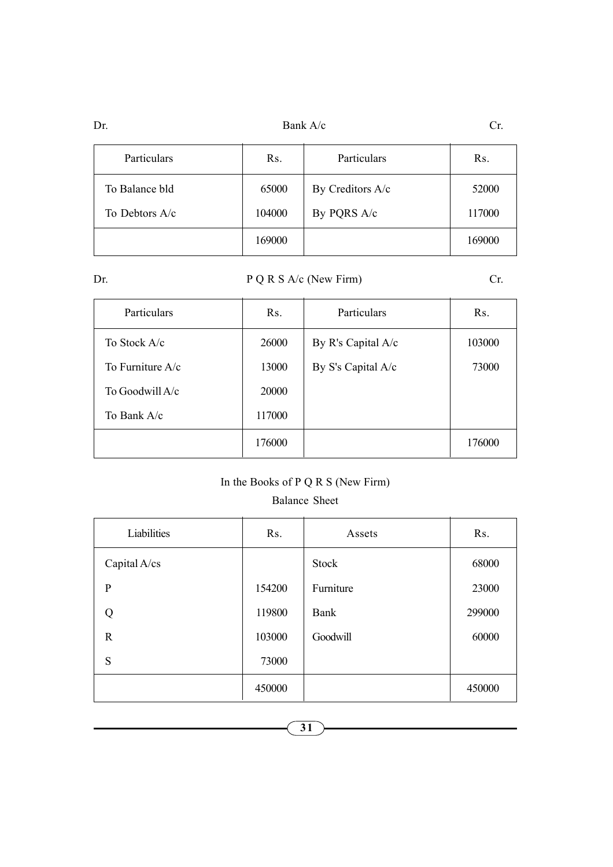| Dr. | Bank A/c | UI. |
|-----|----------|-----|
|     |          |     |

| Particulars    | Rs.    | Particulars      | Rs.    |
|----------------|--------|------------------|--------|
| To Balance bld | 65000  | By Creditors A/c | 52000  |
| To Debtors A/c | 104000 | By PQRS A/c      | 117000 |
|                | 169000 |                  | 169000 |

Dr. P Q R S A/c (New Firm) Cr.

| Particulars        | R <sub>S</sub> . | Particulars        | Rs.    |
|--------------------|------------------|--------------------|--------|
| To Stock A/c       | 26000            | By R's Capital A/c | 103000 |
| To Furniture $A/c$ | 13000            | By S's Capital A/c | 73000  |
| To Goodwill $A/c$  | 20000            |                    |        |
| To Bank A/c        | 117000           |                    |        |
|                    | 176000           |                    | 176000 |

## In the Books of P Q R S (New Firm)

### Balance Sheet Ñ.

| Liabilities  | Rs.    | Assets    | Rs.    |
|--------------|--------|-----------|--------|
| Capital A/cs |        | Stock     | 68000  |
| $\mathbf{P}$ | 154200 | Furniture | 23000  |
| Q            | 119800 | Bank      | 299000 |
| R            | 103000 | Goodwill  | 60000  |
| S            | 73000  |           |        |
|              | 450000 |           | 450000 |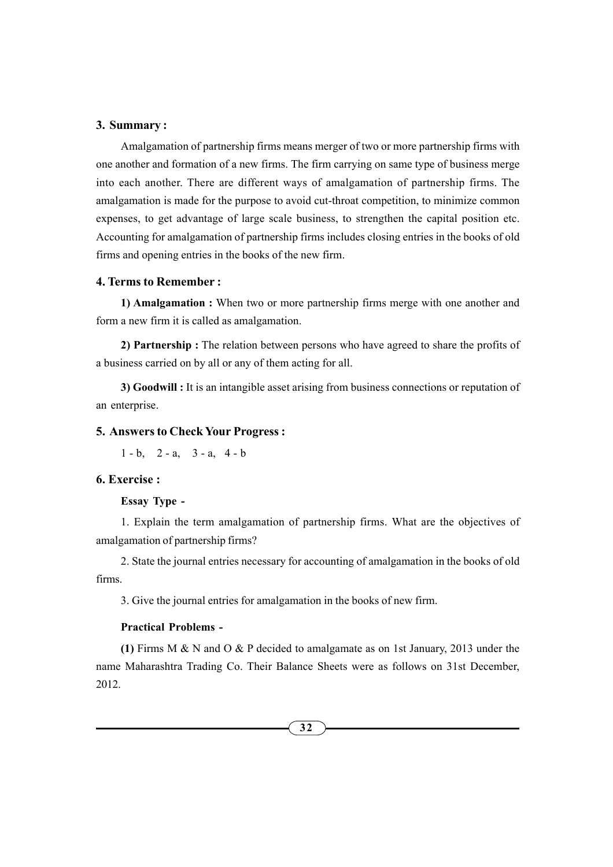#### 3. Summary :

Amalgamation of partnership firms means merger of two or more partnership firms with one another and formation of a new firms. The firm carrying on same type of business merge into each another. There are different ways of amalgamation of partnership firms. The amalgamation is made for the purpose to avoid cut-throat competition, to minimize common expenses, to get advantage of large scale business, to strengthen the capital position etc. Accounting for amalgamation of partnership firms includes closing entries in the books of old firms and opening entries in the books of the new firm.

#### 4. Terms to Remember :

1) Amalgamation : When two or more partnership firms merge with one another and form a new firm it is called as amalgamation.

2) Partnership : The relation between persons who have agreed to share the profits of a business carried on by all or any of them acting for all.

3) Goodwill : It is an intangible asset arising from business connections or reputation of an enterprise.

#### 5. Answers to Check Your Progress :

 $1 - b$ ,  $2 - a$ ,  $3 - a$ ,  $4 - b$ 

#### 6. Exercise :

#### Essay Type -

1. Explain the term amalgamation of partnership firms. What are the objectives of amalgamation of partnership firms?

2. State the journal entries necessary for accounting of amalgamation in the books of old firms.

3. Give the journal entries for amalgamation in the books of new firm.

## Practical Problems -

(1) Firms M  $\&$  N and O  $\&$  P decided to amalgamate as on 1st January, 2013 under the name Maharashtra Trading Co. Their Balance Sheets were as follows on 31st December, 2012.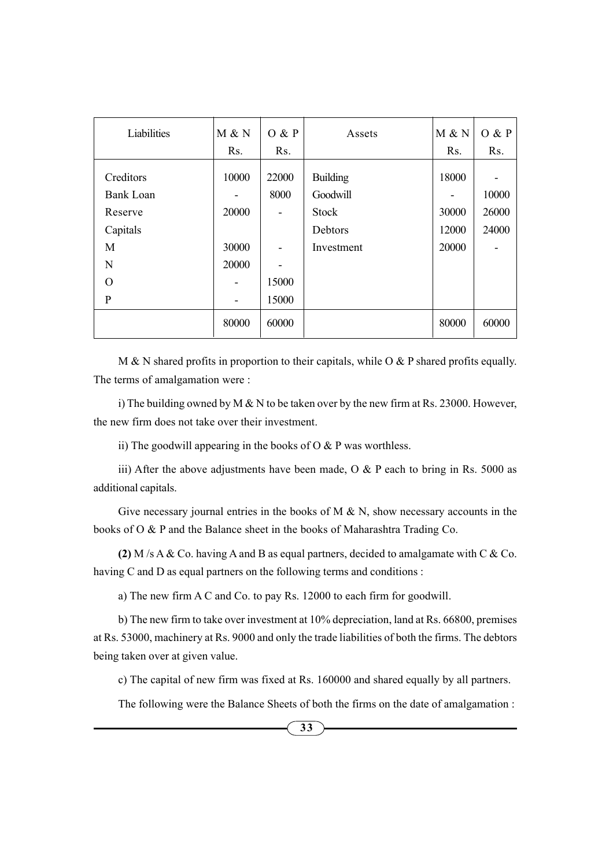| Liabilities      | M & N | O & P | Assets          | M & N | O & P |
|------------------|-------|-------|-----------------|-------|-------|
|                  | Rs.   | Rs.   |                 | Rs.   | Rs.   |
| Creditors        | 10000 | 22000 | <b>Building</b> | 18000 |       |
| <b>Bank Loan</b> |       | 8000  | Goodwill        |       | 10000 |
| Reserve          | 20000 | ۰     | <b>Stock</b>    | 30000 | 26000 |
| Capitals         |       |       | Debtors         | 12000 | 24000 |
| M                | 30000 |       | Investment      | 20000 |       |
| N                | 20000 |       |                 |       |       |
| $\Omega$         |       | 15000 |                 |       |       |
| $\mathbf{P}$     |       | 15000 |                 |       |       |
|                  | 80000 | 60000 |                 | 80000 | 60000 |

M & N shared profits in proportion to their capitals, while O & P shared profits equally. The terms of amalgamation were :

i) The building owned by M  $\&$  N to be taken over by the new firm at Rs. 23000. However, the new firm does not take over their investment.

ii) The goodwill appearing in the books of  $O & P$  was worthless.

iii) After the above adjustments have been made,  $O &$  P each to bring in Rs. 5000 as additional capitals.

Give necessary journal entries in the books of  $M \& N$ , show necessary accounts in the books of O & P and the Balance sheet in the books of Maharashtra Trading Co.

(2) M /s A & Co. having A and B as equal partners, decided to amalgamate with C & Co. having C and D as equal partners on the following terms and conditions :

a) The new firm A C and Co. to pay Rs. 12000 to each firm for goodwill.

b) The new firm to take over investment at 10% depreciation, land at Rs. 66800, premises at Rs. 53000, machinery at Rs. 9000 and only the trade liabilities of both the firms. The debtors being taken over at given value.

c) The capital of new firm was fixed at Rs. 160000 and shared equally by all partners.

The following were the Balance Sheets of both the firms on the date of amalgamation :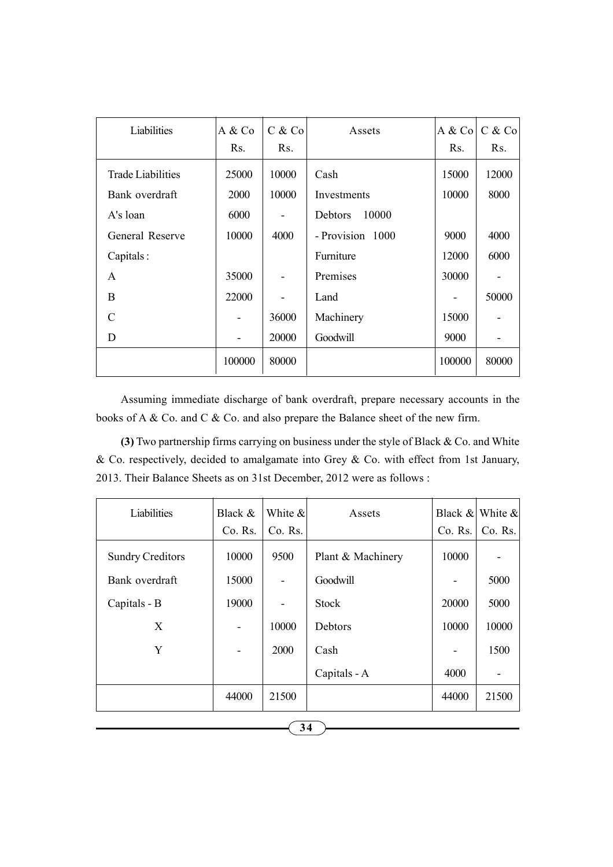| Liabilities              | A & Co<br>Rs. | C & Co<br>Rs. | Assets           | A & Co<br>Rs. | C & Co<br>Rs. |
|--------------------------|---------------|---------------|------------------|---------------|---------------|
| <b>Trade Liabilities</b> | 25000         | 10000         | Cash             | 15000         | 12000         |
| Bank overdraft           | <b>2000</b>   | 10000         | Investments      | 10000         | 8000          |
| A's loan                 | 6000          |               | 10000<br>Debtors |               |               |
| General Reserve          | 10000         | 4000          | - Provision 1000 | 9000          | 4000          |
| Capitals:                |               |               | Furniture        | 12000         | 6000          |
| A                        | 35000         |               | Premises         | 30000         |               |
| B                        | 22000         |               | Land             |               | 50000         |
| C                        |               | 36000         | Machinery        | 15000         |               |
| D                        |               | 20000         | Goodwill         | 9000          |               |
|                          | 100000        | 80000         |                  | 100000        | 80000         |

Assuming immediate discharge of bank overdraft, prepare necessary accounts in the books of A & Co. and C & Co. and also prepare the Balance sheet of the new firm.

(3) Two partnership firms carrying on business under the style of Black & Co. and White & Co. respectively, decided to amalgamate into Grey & Co. with effect from 1st January, 2013. Their Balance Sheets as on 31st December, 2012 were as follows :

| Liabilities             | Black &<br>$Co.$ Rs. | White &<br>$Co.$ Rs. | Assets            | Co. Rs. | Black $\&$ White $\&$<br>$Co.$ Rs. |
|-------------------------|----------------------|----------------------|-------------------|---------|------------------------------------|
| <b>Sundry Creditors</b> | 10000                | 9500                 | Plant & Machinery | 10000   |                                    |
| Bank overdraft          | 15000                |                      | Goodwill          |         | 5000                               |
| Capitals - B            | 19000                |                      | <b>Stock</b>      | 20000   | 5000                               |
| X                       |                      | 10000                | Debtors           | 10000   | 10000                              |
| Y                       |                      | 2000                 | Cash              |         | 1500                               |
|                         |                      |                      | Capitals - A      | 4000    |                                    |
|                         | 44000                | 21500                |                   | 44000   | 21500                              |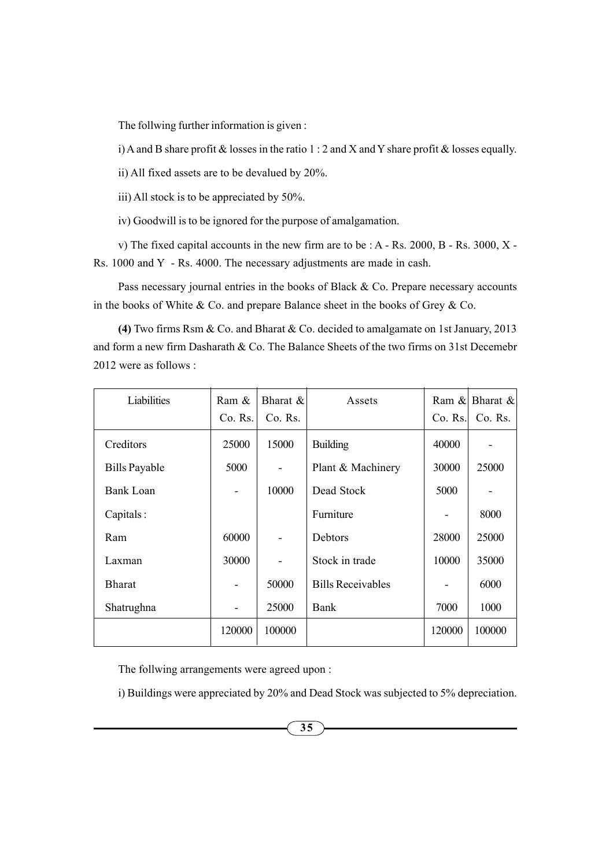The follwing further information is given :

i) A and B share profit  $\&$  losses in the ratio 1 : 2 and X and Y share profit  $\&$  losses equally.

ii) All fixed assets are to be devalued by 20%.

iii) All stock is to be appreciated by 50%.

iv) Goodwill is to be ignored for the purpose of amalgamation.

v) The fixed capital accounts in the new firm are to be : A - Rs. 2000, B - Rs. 3000, X - Rs. 1000 and Y - Rs. 4000. The necessary adjustments are made in cash.

Pass necessary journal entries in the books of Black & Co. Prepare necessary accounts in the books of White  $& Co.$  and prepare Balance sheet in the books of Grey  $& Co.$ 

(4) Two firms Rsm & Co. and Bharat & Co. decided to amalgamate on 1st January, 2013 and form a new firm Dasharath & Co. The Balance Sheets of the two firms on 31st Decemebr 2012 were as follows :

| Liabilities          | Ram &   | Bharat $\&$ | Assets                   |         | Ram & Bharat & |
|----------------------|---------|-------------|--------------------------|---------|----------------|
|                      | Co. Rs. | Co. Rs.     |                          | Co. Rs. | Co. Rs.        |
| Creditors            | 25000   | 15000       | <b>Building</b>          | 40000   |                |
| <b>Bills Payable</b> | 5000    |             | Plant & Machinery        | 30000   | 25000          |
| Bank Loan            |         | 10000       | Dead Stock               | 5000    |                |
| Capitals:            |         |             | Furniture                | -       | 8000           |
| Ram                  | 60000   |             | Debtors                  | 28000   | 25000          |
| Laxman               | 30000   |             | Stock in trade           | 10000   | 35000          |
| <b>Bharat</b>        |         | 50000       | <b>Bills Receivables</b> |         | 6000           |
| Shatrughna           |         | 25000       | <b>Bank</b>              | 7000    | 1000           |
|                      | 120000  | 100000      |                          | 120000  | 100000         |

The follwing arrangements were agreed upon :

i) Buildings were appreciated by 20% and Dead Stock was subjected to 5% depreciation.